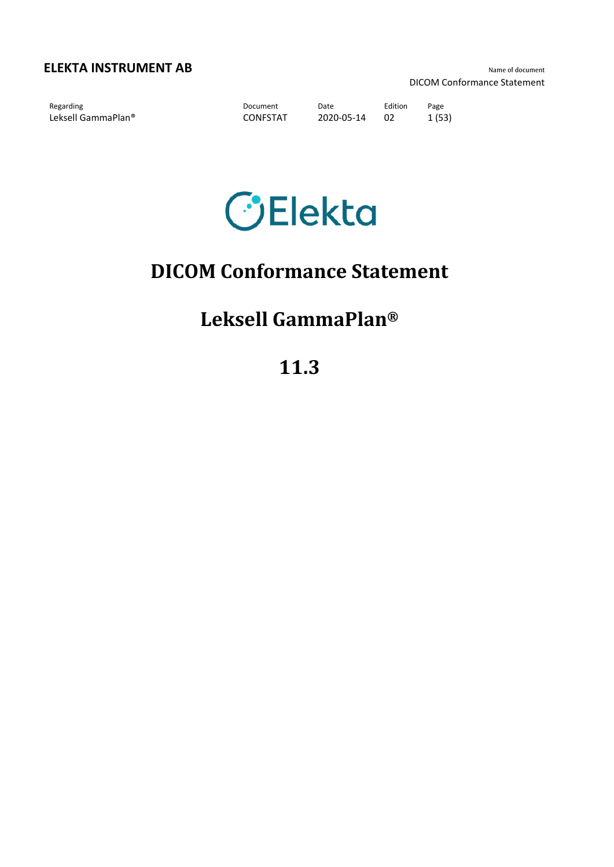#### **ELEKTA INSTRUMENT AB** Name of document

Regarding **Document** Document Date Edition Page Leksell GammaPlan<sup>®</sup> 200NFSTAT 2020-05-14 02 1(53)



# **DICOM Conformance Statement**

**Leksell GammaPlan®**

**11.3**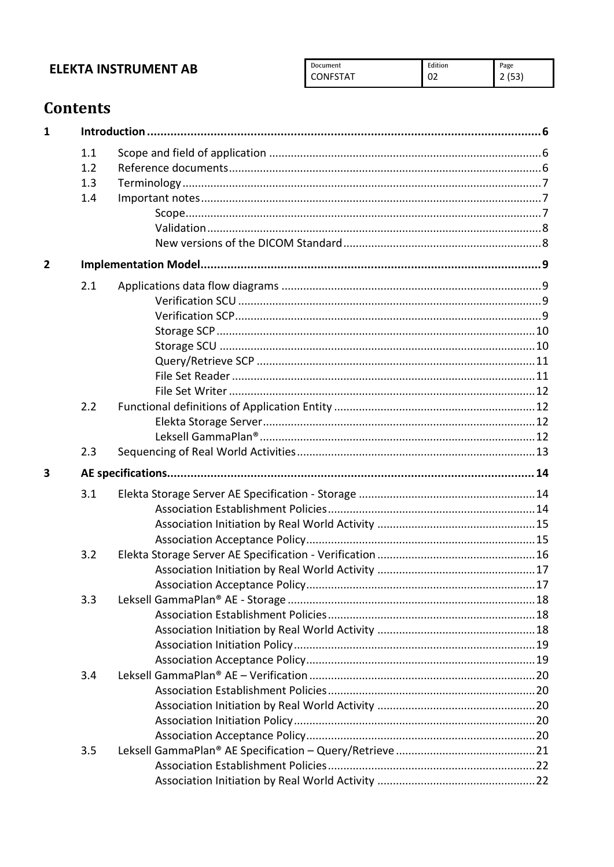| Document | Edition | Page               |
|----------|---------|--------------------|
| CONFSTAT |         | $\mathbf{\hat{a}}$ |

# **Contents**

| $\mathbf{1}$ |     |  |
|--------------|-----|--|
|              | 1.1 |  |
|              | 1.2 |  |
|              | 1.3 |  |
|              | 1.4 |  |
|              |     |  |
|              |     |  |
|              |     |  |
| 2            |     |  |
|              | 2.1 |  |
|              |     |  |
|              |     |  |
|              |     |  |
|              |     |  |
|              |     |  |
|              |     |  |
|              |     |  |
|              | 2.2 |  |
|              |     |  |
|              |     |  |
|              | 2.3 |  |
| 3            |     |  |
|              | 3.1 |  |
|              |     |  |
|              |     |  |
|              |     |  |
|              | 3.2 |  |
|              |     |  |
|              |     |  |
|              | 3.3 |  |
|              |     |  |
|              |     |  |
|              |     |  |
|              |     |  |
|              | 3.4 |  |
|              |     |  |
|              |     |  |
|              |     |  |
|              |     |  |
|              | 3.5 |  |
|              |     |  |
|              |     |  |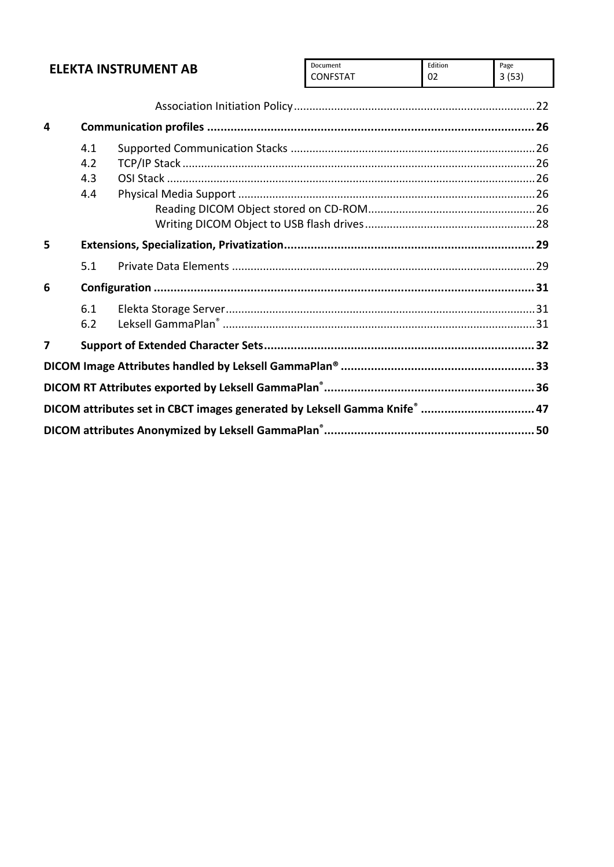|                         |                          | <b>ELEKTA INSTRUMENT AB</b>                                               | <b>Document</b><br><b>CONFSTAT</b> | Edition<br>02 | Page<br>3(53) |
|-------------------------|--------------------------|---------------------------------------------------------------------------|------------------------------------|---------------|---------------|
|                         |                          |                                                                           |                                    |               |               |
| 4                       |                          |                                                                           |                                    |               |               |
|                         | 4.1<br>4.2<br>4.3<br>4.4 |                                                                           |                                    |               |               |
| 5                       |                          |                                                                           |                                    |               |               |
|                         | 5.1                      |                                                                           |                                    |               |               |
| 6                       |                          |                                                                           |                                    |               |               |
|                         | 6.1<br>6.2               |                                                                           |                                    |               |               |
| $\overline{\mathbf{z}}$ |                          |                                                                           |                                    |               |               |
|                         |                          |                                                                           |                                    |               |               |
|                         |                          |                                                                           |                                    |               |               |
|                         |                          | DICOM attributes set in CBCT images generated by Leksell Gamma Knife®  47 |                                    |               |               |
|                         |                          |                                                                           |                                    |               |               |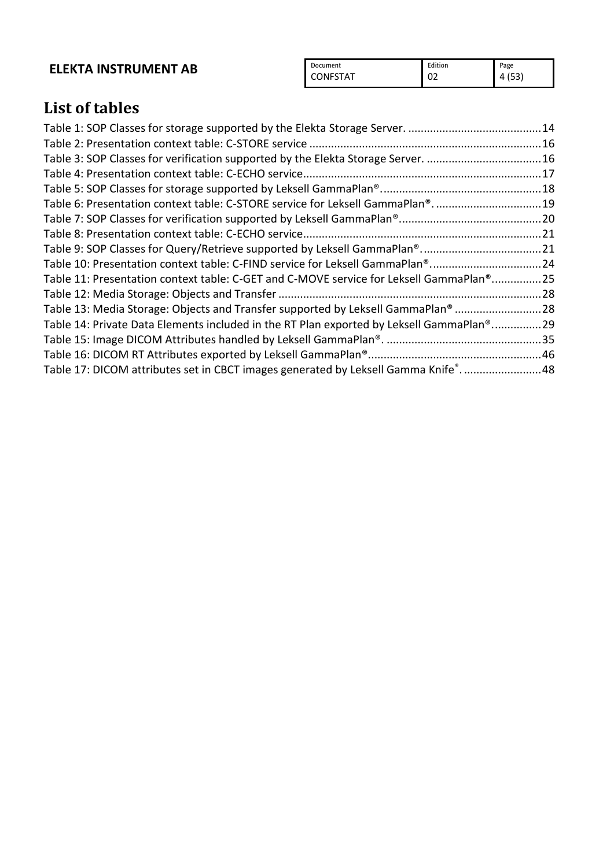| Document        | Edition | Page |
|-----------------|---------|------|
| <b>CONFSTAT</b> |         |      |

# **List of tables**

| Table 6: Presentation context table: C-STORE service for Leksell GammaPlan®. 19          |  |
|------------------------------------------------------------------------------------------|--|
|                                                                                          |  |
|                                                                                          |  |
|                                                                                          |  |
| Table 10: Presentation context table: C-FIND service for Leksell GammaPlan®24            |  |
| Table 11: Presentation context table: C-GET and C-MOVE service for Leksell GammaPlan®25  |  |
|                                                                                          |  |
| Table 13: Media Storage: Objects and Transfer supported by Leksell GammaPlan® 28         |  |
| Table 14: Private Data Elements included in the RT Plan exported by Leksell GammaPlan®29 |  |
|                                                                                          |  |
|                                                                                          |  |
| Table 17: DICOM attributes set in CBCT images generated by Leksell Gamma Knife®48        |  |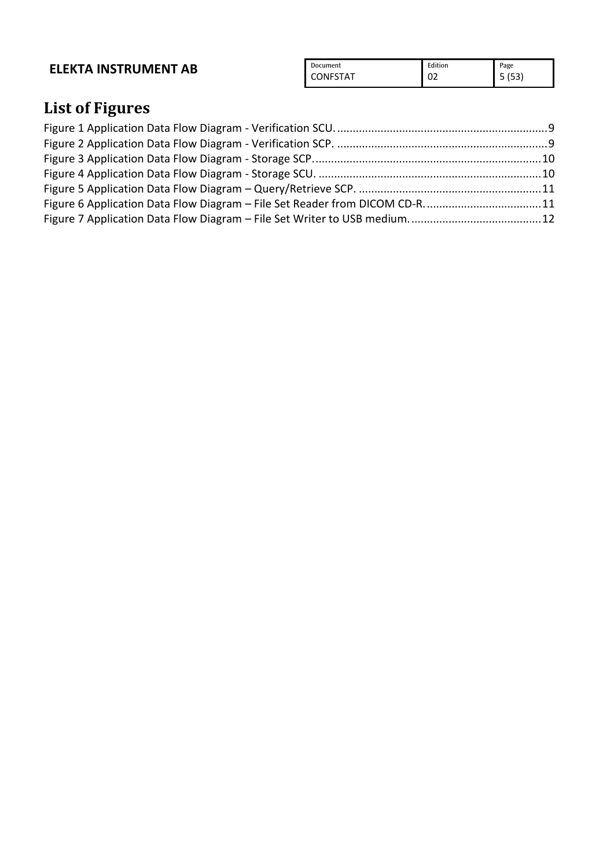| <b>ELEKTA INSTRUMENT AB</b> | Document  |
|-----------------------------|-----------|
|                             | L CUVIEC. |

| Document        | Edition | Page  |
|-----------------|---------|-------|
| <b>CONFSTAT</b> | ഹ<br>ັ  | 5(53) |

# **List of Figures**

| Figure 6 Application Data Flow Diagram – File Set Reader from DICOM CD-R. 11 |  |
|------------------------------------------------------------------------------|--|
|                                                                              |  |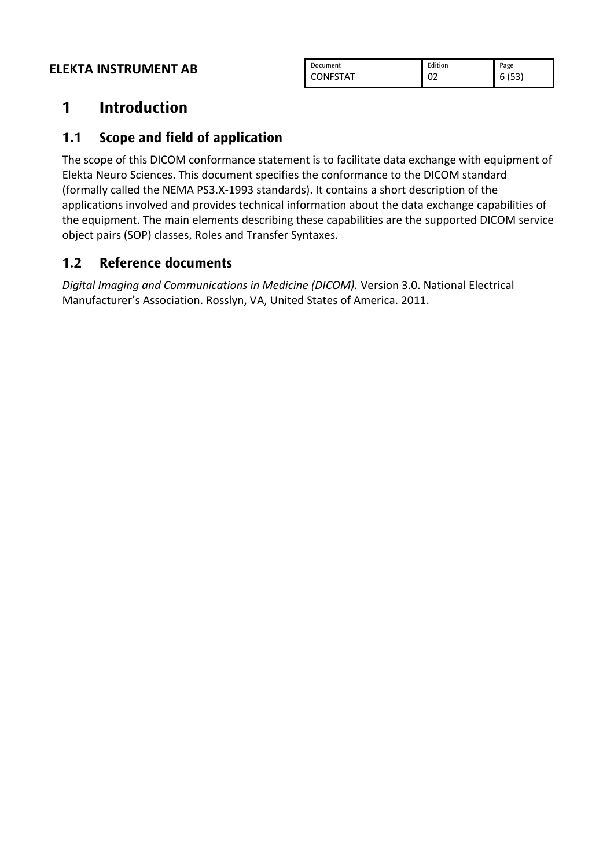| Document        | Edition | Page  |
|-----------------|---------|-------|
| <b>CONFSTAT</b> | 02      | 6(53) |

# **1 Introduction**

# **1.1 Scope and field of application**

The scope of this DICOM conformance statement is to facilitate data exchange with equipment of Elekta Neuro Sciences. This document specifies the conformance to the DICOM standard (formally called the NEMA PS3.X-1993 standards). It contains a short description of the applications involved and provides technical information about the data exchange capabilities of the equipment. The main elements describing these capabilities are the supported DICOM service object pairs (SOP) classes, Roles and Transfer Syntaxes.

# **1.2 Reference documents**

*Digital Imaging and Communications in Medicine (DICOM).* Version 3.0. National Electrical Manufacturer's Association. Rosslyn, VA, United States of America. 2011.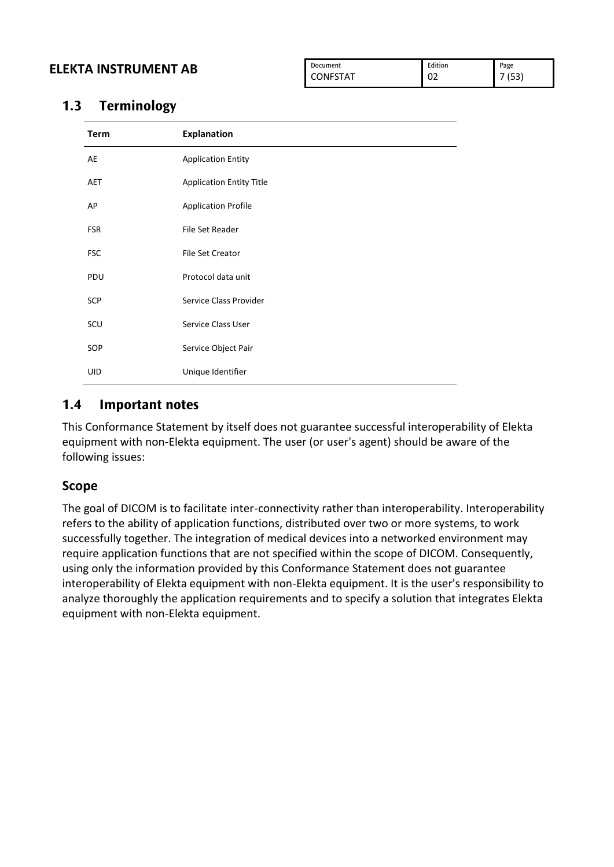| Document        | Edition | Page |
|-----------------|---------|------|
| <b>CONFSTAT</b> | 02      |      |

### **1.3 Terminology**

| <b>Term</b> | <b>Explanation</b>              |
|-------------|---------------------------------|
| AE          | <b>Application Entity</b>       |
| AET         | <b>Application Entity Title</b> |
| AP          | <b>Application Profile</b>      |
| <b>FSR</b>  | File Set Reader                 |
| <b>FSC</b>  | File Set Creator                |
| PDU         | Protocol data unit              |
| <b>SCP</b>  | Service Class Provider          |
| SCU         | Service Class User              |
| SOP         | Service Object Pair             |
| <b>UID</b>  | Unique Identifier               |

#### **1.4 Important notes**

This Conformance Statement by itself does not guarantee successful interoperability of Elekta equipment with non-Elekta equipment. The user (or user's agent) should be aware of the following issues:

#### **Scope**

The goal of DICOM is to facilitate inter-connectivity rather than interoperability. Interoperability refers to the ability of application functions, distributed over two or more systems, to work successfully together. The integration of medical devices into a networked environment may require application functions that are not specified within the scope of DICOM. Consequently, using only the information provided by this Conformance Statement does not guarantee interoperability of Elekta equipment with non-Elekta equipment. It is the user's responsibility to analyze thoroughly the application requirements and to specify a solution that integrates Elekta equipment with non-Elekta equipment.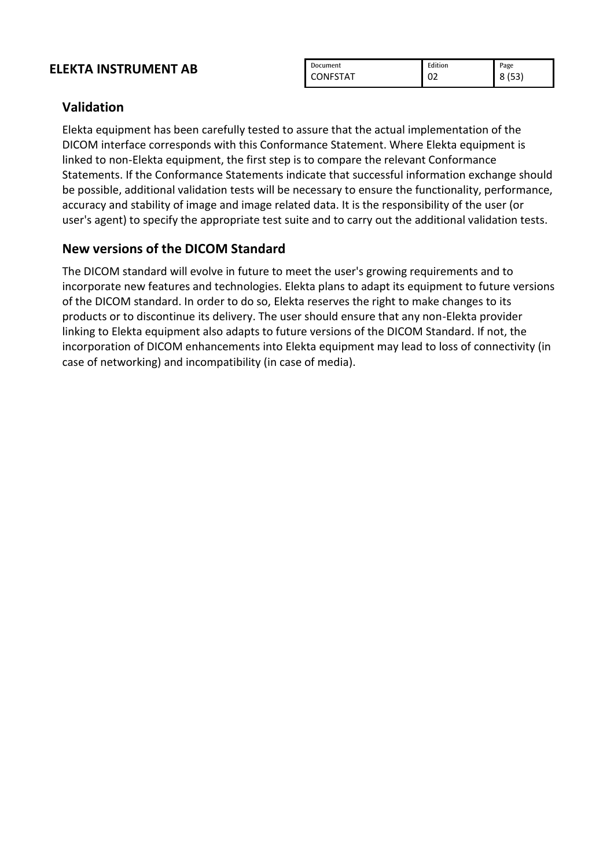| Document | Edition | Page  |
|----------|---------|-------|
| CONFSTAT |         | 8(53) |

#### **Validation**

Elekta equipment has been carefully tested to assure that the actual implementation of the DICOM interface corresponds with this Conformance Statement. Where Elekta equipment is linked to non-Elekta equipment, the first step is to compare the relevant Conformance Statements. If the Conformance Statements indicate that successful information exchange should be possible, additional validation tests will be necessary to ensure the functionality, performance, accuracy and stability of image and image related data. It is the responsibility of the user (or user's agent) to specify the appropriate test suite and to carry out the additional validation tests.

#### **New versions of the DICOM Standard**

The DICOM standard will evolve in future to meet the user's growing requirements and to incorporate new features and technologies. Elekta plans to adapt its equipment to future versions of the DICOM standard. In order to do so, Elekta reserves the right to make changes to its products or to discontinue its delivery. The user should ensure that any non-Elekta provider linking to Elekta equipment also adapts to future versions of the DICOM Standard. If not, the incorporation of DICOM enhancements into Elekta equipment may lead to loss of connectivity (in case of networking) and incompatibility (in case of media).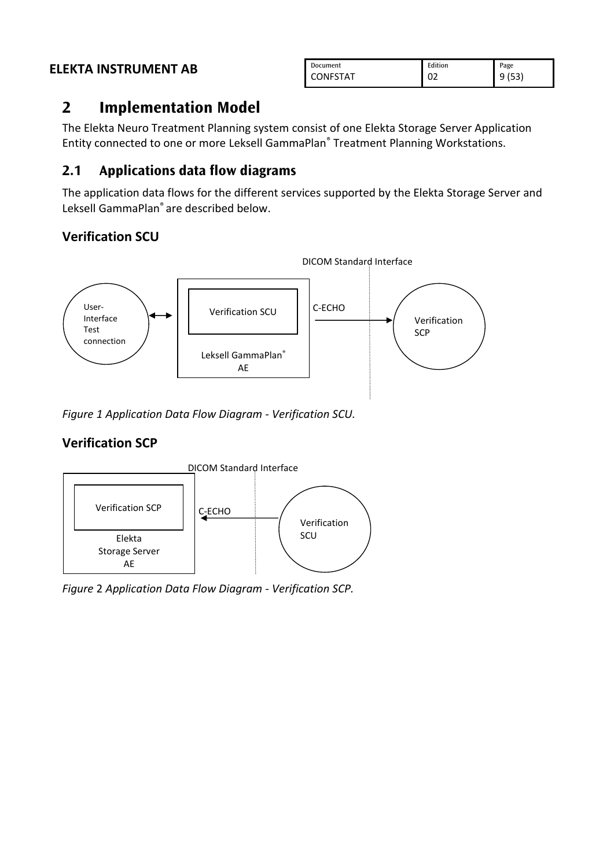| Document        | Edition | Page  |
|-----------------|---------|-------|
| <b>CONFSTAT</b> | 02      | 9(53) |

# **2 Implementation Model**

The Elekta Neuro Treatment Planning system consist of one Elekta Storage Server Application Entity connected to one or more Leksell GammaPlan® Treatment Planning Workstations.

# **2.1 Applications data flow diagrams**

The application data flows for the different services supported by the Elekta Storage Server and Leksell GammaPlan® are described below.

### **Verification SCU**



<span id="page-8-0"></span>*Figure 1 Application Data Flow Diagram - Verification SCU.*

# **Verification SCP**



<span id="page-8-1"></span>*Figure* 2 *Application Data Flow Diagram - Verification SCP.*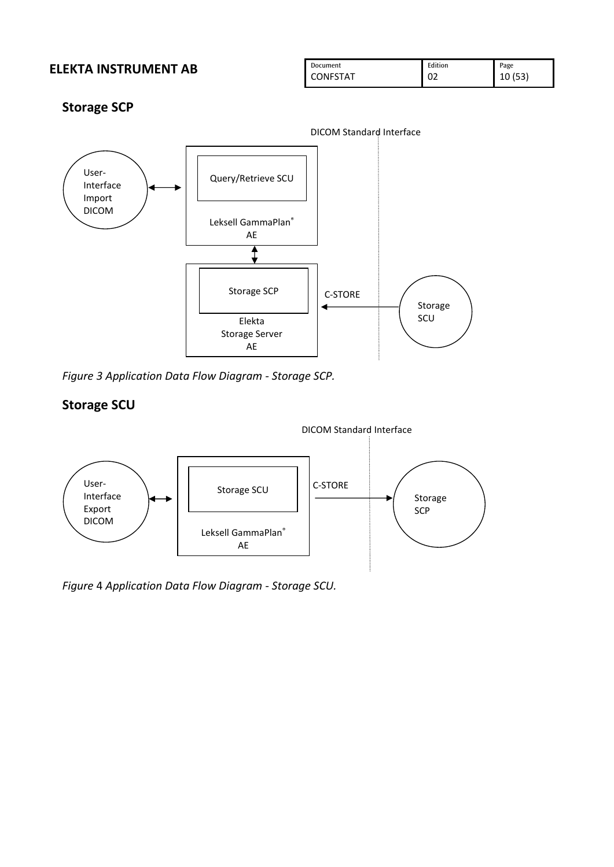| Document | Edition | Page   |
|----------|---------|--------|
| CONFSTAT | റാ      | 10(53) |

#### **Storage SCP**



<span id="page-9-0"></span>*Figure 3 Application Data Flow Diagram - Storage SCP.*

### **Storage SCU**





<span id="page-9-1"></span>*Figure* 4 *Application Data Flow Diagram - Storage SCU.*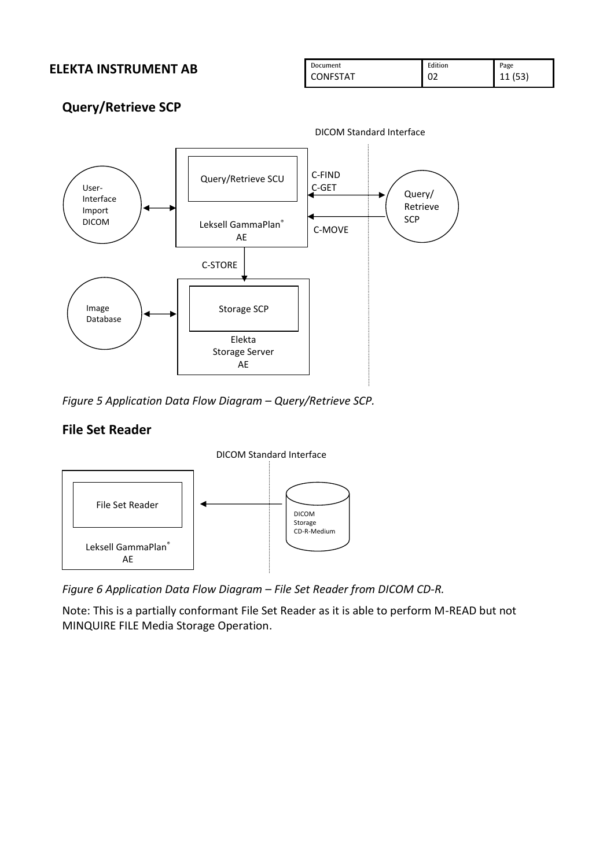| Document        | Edition | Page             |
|-----------------|---------|------------------|
| <b>CONFSTAT</b> |         | (53)<br>11<br>ᆠᆂ |

### **Query/Retrieve SCP**



<span id="page-10-0"></span>*Figure 5 Application Data Flow Diagram – Query/Retrieve SCP.*

### **File Set Reader**



<span id="page-10-1"></span>*Figure 6 Application Data Flow Diagram – File Set Reader from DICOM CD-R.* 

Note: This is a partially conformant File Set Reader as it is able to perform M-READ but not MINQUIRE FILE Media Storage Operation.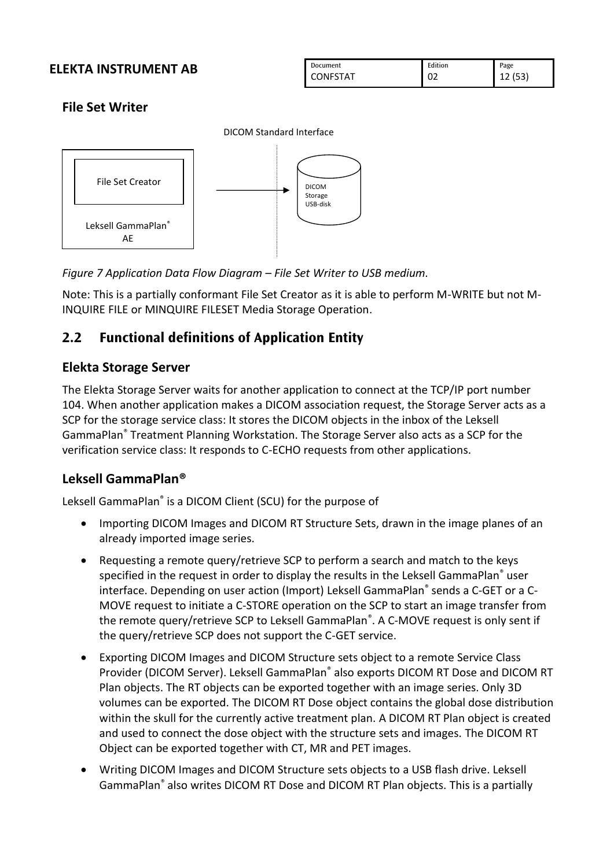| Document        | Edition | Page   |
|-----------------|---------|--------|
| <b>CONFSTAT</b> | 02      | 12(53) |

### **File Set Writer**

DICOM Standard Interface



<span id="page-11-0"></span>*Figure 7 Application Data Flow Diagram – File Set Writer to USB medium.*

Note: This is a partially conformant File Set Creator as it is able to perform M-WRITE but not M-INQUIRE FILE or MINQUIRE FILESET Media Storage Operation.

# **2.2 Functional definitions of Application Entity**

### **Elekta Storage Server**

The Elekta Storage Server waits for another application to connect at the TCP/IP port number 104. When another application makes a DICOM association request, the Storage Server acts as a SCP for the storage service class: It stores the DICOM objects in the inbox of the Leksell GammaPlan® Treatment Planning Workstation. The Storage Server also acts as a SCP for the verification service class: It responds to C-ECHO requests from other applications.

### **Leksell GammaPlan®**

Leksell GammaPlan® is a DICOM Client (SCU) for the purpose of

- Importing DICOM Images and DICOM RT Structure Sets, drawn in the image planes of an already imported image series.
- Requesting a remote query/retrieve SCP to perform a search and match to the keys specified in the request in order to display the results in the Leksell GammaPlan<sup>®</sup> user interface. Depending on user action (Import) Leksell GammaPlan® sends a C-GET or a C-MOVE request to initiate a C-STORE operation on the SCP to start an image transfer from the remote query/retrieve SCP to Leksell GammaPlan® . A C-MOVE request is only sent if the query/retrieve SCP does not support the C-GET service.
- Exporting DICOM Images and DICOM Structure sets object to a remote Service Class Provider (DICOM Server). Leksell GammaPlan® also exports DICOM RT Dose and DICOM RT Plan objects. The RT objects can be exported together with an image series. Only 3D volumes can be exported. The DICOM RT Dose object contains the global dose distribution within the skull for the currently active treatment plan. A DICOM RT Plan object is created and used to connect the dose object with the structure sets and images. The DICOM RT Object can be exported together with CT, MR and PET images.
- Writing DICOM Images and DICOM Structure sets objects to a USB flash drive. Leksell GammaPlan® also writes DICOM RT Dose and DICOM RT Plan objects. This is a partially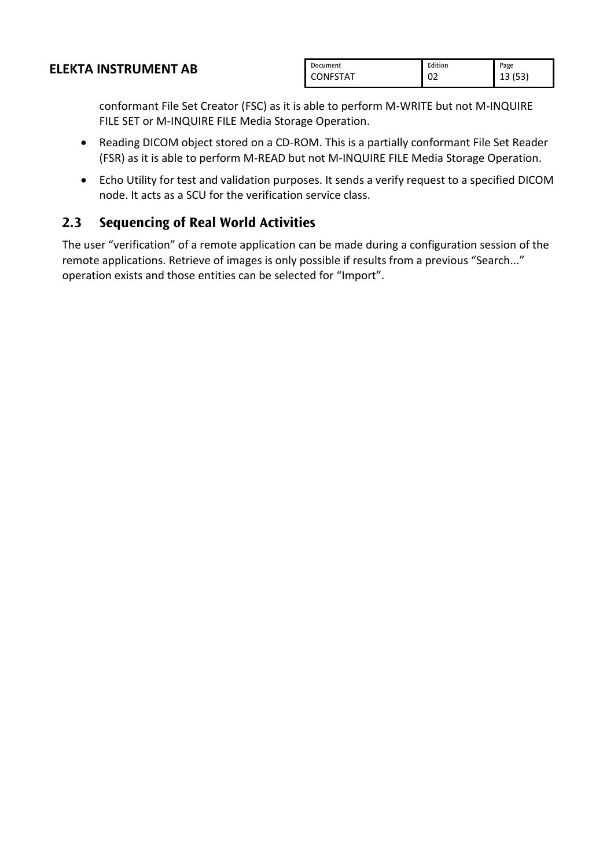| <b>ELEKTA INSTRUMENT AB</b> | Document | <b>Edition</b> | Page      |
|-----------------------------|----------|----------------|-----------|
|                             | CONFSTAT | 02             | (53<br>-- |

conformant File Set Creator (FSC) as it is able to perform M-WRITE but not M-INQUIRE FILE SET or M-INQUIRE FILE Media Storage Operation.

- Reading DICOM object stored on a CD-ROM. This is a partially conformant File Set Reader (FSR) as it is able to perform M-READ but not M-INQUIRE FILE Media Storage Operation.
- Echo Utility for test and validation purposes. It sends a verify request to a specified DICOM node. It acts as a SCU for the verification service class.

# **2.3 Sequencing of Real World Activities**

The user "verification" of a remote application can be made during a configuration session of the remote applications. Retrieve of images is only possible if results from a previous "Search..." operation exists and those entities can be selected for "Import".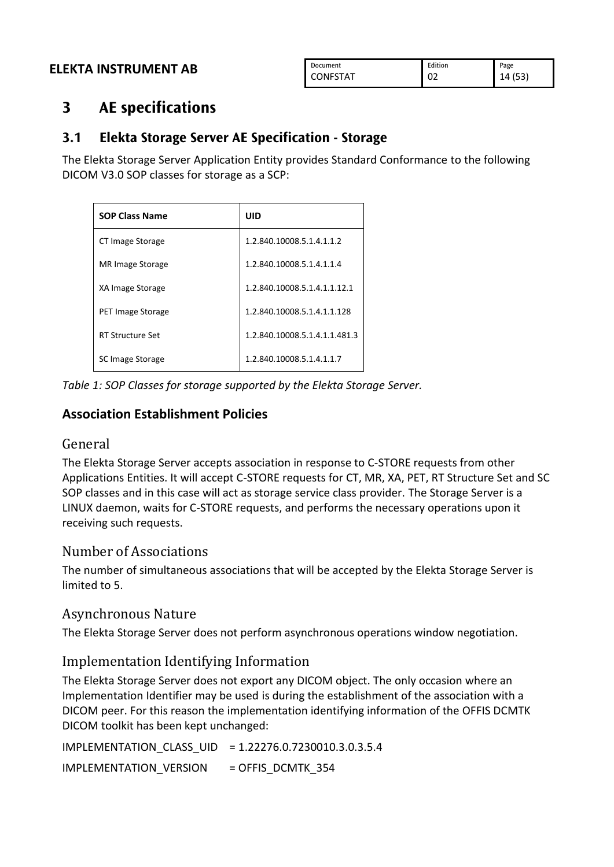| Document        | Edition | Page    |
|-----------------|---------|---------|
| <b>CONFSTAT</b> | 02      | 14 (53) |

# **3 AE specifications**

# **3.1 Elekta Storage Server AE Specification - Storage**

The Elekta Storage Server Application Entity provides Standard Conformance to the following DICOM V3.0 SOP classes for storage as a SCP:

| <b>SOP Class Name</b>    | UID                           |
|--------------------------|-------------------------------|
| CT Image Storage         | 1.2.840.10008.5.1.4.1.1.2     |
| <b>MR Image Storage</b>  | 1.2.840.10008.5.1.4.1.1.4     |
| XA Image Storage         | 1.2.840.10008.5.1.4.1.1.12.1  |
| <b>PET Image Storage</b> | 1.2.840.10008.5.1.4.1.1.128   |
| <b>RT Structure Set</b>  | 1.2.840.10008.5.1.4.1.1.481.3 |
| <b>SC Image Storage</b>  | 1.2.840.10008.5.1.4.1.1.7     |

*Table 1: SOP Classes for storage supported by the Elekta Storage Server.*

### **Association Establishment Policies**

### General

The Elekta Storage Server accepts association in response to C-STORE requests from other Applications Entities. It will accept C-STORE requests for CT, MR, XA, PET, RT Structure Set and SC SOP classes and in this case will act as storage service class provider. The Storage Server is a LINUX daemon, waits for C-STORE requests, and performs the necessary operations upon it receiving such requests.

### Number of Associations

The number of simultaneous associations that will be accepted by the Elekta Storage Server is limited to 5.

### Asynchronous Nature

The Elekta Storage Server does not perform asynchronous operations window negotiation.

### Implementation Identifying Information

The Elekta Storage Server does not export any DICOM object. The only occasion where an Implementation Identifier may be used is during the establishment of the association with a DICOM peer. For this reason the implementation identifying information of the OFFIS DCMTK DICOM toolkit has been kept unchanged:

IMPLEMENTATION\_CLASS\_UID = 1.22276.0.7230010.3.0.3.5.4 IMPLEMENTATION\_VERSION = OFFIS\_DCMTK\_354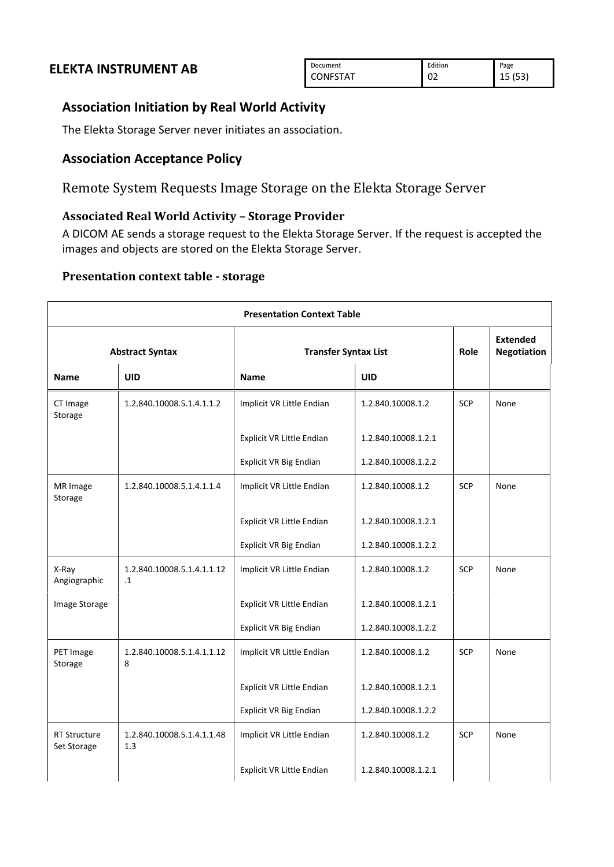| <b>ELEKTA INSTRUMENT AB</b> | Document      |
|-----------------------------|---------------|
|                             | <b>LOUVEC</b> |

| Document        | Edition | Page   |
|-----------------|---------|--------|
| <b>CONFSTAT</b> |         | 15(53) |

#### **Association Initiation by Real World Activity**

The Elekta Storage Server never initiates an association.

#### **Association Acceptance Policy**

Remote System Requests Image Storage on the Elekta Storage Server

#### **Associated Real World Activity – Storage Provider**

A DICOM AE sends a storage request to the Elekta Storage Server. If the request is accepted the images and objects are stored on the Elekta Storage Server.

#### **Presentation context table - storage**

|                                    |                                         | <b>Presentation Context Table</b> |                     |            |                                       |
|------------------------------------|-----------------------------------------|-----------------------------------|---------------------|------------|---------------------------------------|
|                                    | <b>Abstract Syntax</b>                  | <b>Transfer Syntax List</b>       |                     | Role       | <b>Extended</b><br><b>Negotiation</b> |
| <b>Name</b>                        | <b>UID</b>                              | <b>Name</b>                       | <b>UID</b>          |            |                                       |
| CT Image<br>Storage                | 1.2.840.10008.5.1.4.1.1.2               | Implicit VR Little Endian         | 1.2.840.10008.1.2   | <b>SCP</b> | None                                  |
|                                    |                                         | Explicit VR Little Endian         | 1.2.840.10008.1.2.1 |            |                                       |
|                                    |                                         | Explicit VR Big Endian            | 1.2.840.10008.1.2.2 |            |                                       |
| MR Image<br>Storage                | 1.2.840.10008.5.1.4.1.1.4               | Implicit VR Little Endian         | 1.2.840.10008.1.2   | <b>SCP</b> | None                                  |
|                                    |                                         | Explicit VR Little Endian         | 1.2.840.10008.1.2.1 |            |                                       |
|                                    |                                         | <b>Explicit VR Big Endian</b>     | 1.2.840.10008.1.2.2 |            |                                       |
| X-Ray<br>Angiographic              | 1.2.840.10008.5.1.4.1.1.12<br>$\cdot$ 1 | Implicit VR Little Endian         | 1.2.840.10008.1.2   | <b>SCP</b> | None                                  |
| Image Storage                      |                                         | Explicit VR Little Endian         | 1.2.840.10008.1.2.1 |            |                                       |
|                                    |                                         | Explicit VR Big Endian            | 1.2.840.10008.1.2.2 |            |                                       |
| PET Image<br>Storage               | 1.2.840.10008.5.1.4.1.1.12<br>8         | Implicit VR Little Endian         | 1.2.840.10008.1.2   | SCP        | None                                  |
|                                    |                                         | Explicit VR Little Endian         | 1.2.840.10008.1.2.1 |            |                                       |
|                                    |                                         | <b>Explicit VR Big Endian</b>     | 1.2.840.10008.1.2.2 |            |                                       |
| <b>RT Structure</b><br>Set Storage | 1.2.840.10008.5.1.4.1.1.48<br>1.3       | Implicit VR Little Endian         | 1.2.840.10008.1.2   | <b>SCP</b> | None                                  |
|                                    |                                         | Explicit VR Little Endian         | 1.2.840.10008.1.2.1 |            |                                       |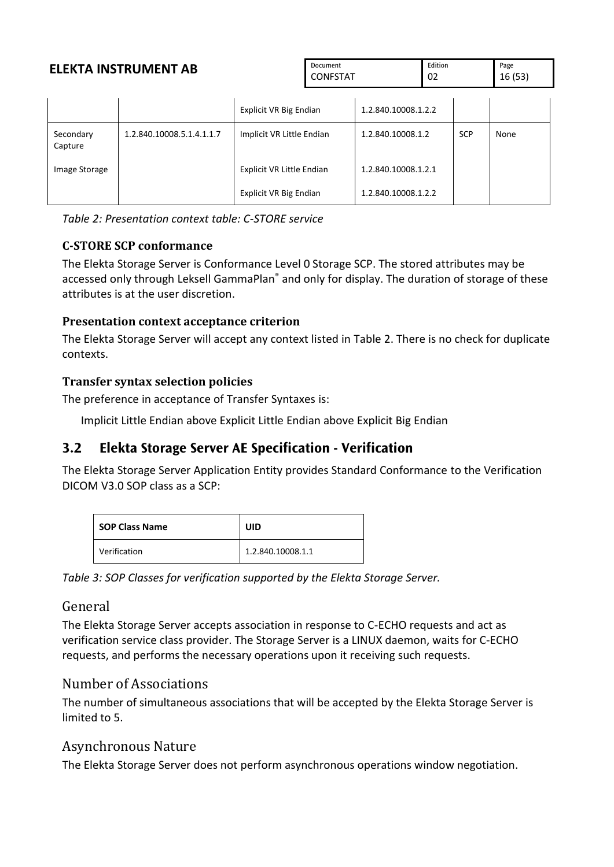|                      | <b>ELEKTA INSTRUMENT AB</b> |                           | <b>Document</b><br><b>CONFSTAT</b> |                     | Edition<br>02 |            | Page<br>16 (53) |
|----------------------|-----------------------------|---------------------------|------------------------------------|---------------------|---------------|------------|-----------------|
|                      |                             | Explicit VR Big Endian    |                                    | 1.2.840.10008.1.2.2 |               |            |                 |
| Secondary<br>Capture | 1.2.840.10008.5.1.4.1.1.7   | Implicit VR Little Endian |                                    | 1.2.840.10008.1.2   |               | <b>SCP</b> | None            |
| Image Storage        |                             | Explicit VR Little Endian |                                    | 1.2.840.10008.1.2.1 |               |            |                 |
|                      |                             | Explicit VR Big Endian    |                                    | 1.2.840.10008.1.2.2 |               |            |                 |

*Table 2: Presentation context table: C-STORE service*

### **C-STORE SCP conformance**

The Elekta Storage Server is Conformance Level 0 Storage SCP. The stored attributes may be accessed only through Leksell GammaPlan® and only for display. The duration of storage of these attributes is at the user discretion.

### **Presentation context acceptance criterion**

The Elekta Storage Server will accept any context listed in Table 2. There is no check for duplicate contexts.

#### **Transfer syntax selection policies**

The preference in acceptance of Transfer Syntaxes is:

Implicit Little Endian above Explicit Little Endian above Explicit Big Endian

# **3.2 Elekta Storage Server AE Specification - Verification**

The Elekta Storage Server Application Entity provides Standard Conformance to the Verification DICOM V3.0 SOP class as a SCP:

| <b>SOP Class Name</b> | UID               |
|-----------------------|-------------------|
| Verification          | 1.2.840.10008.1.1 |

*Table 3: SOP Classes for verification supported by the Elekta Storage Server.*

### General

The Elekta Storage Server accepts association in response to C-ECHO requests and act as verification service class provider. The Storage Server is a LINUX daemon, waits for C-ECHO requests, and performs the necessary operations upon it receiving such requests.

# Number of Associations

The number of simultaneous associations that will be accepted by the Elekta Storage Server is limited to 5.

### Asynchronous Nature

The Elekta Storage Server does not perform asynchronous operations window negotiation.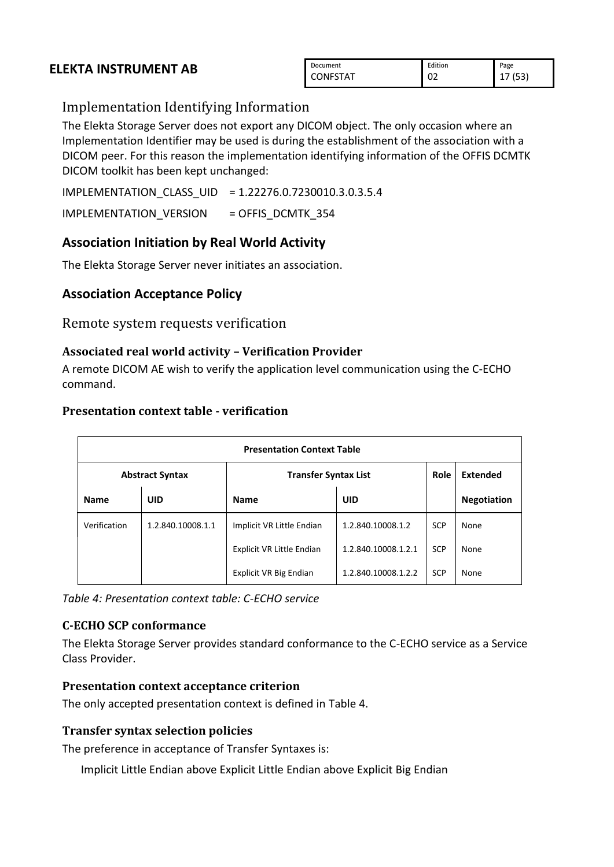| <b>ELEKTA INSTRUMENT AB</b> | Document | Edition | Page               |
|-----------------------------|----------|---------|--------------------|
|                             | CONFSTAT | -02     | (53)<br><u>д.,</u> |

### Implementation Identifying Information

The Elekta Storage Server does not export any DICOM object. The only occasion where an Implementation Identifier may be used is during the establishment of the association with a DICOM peer. For this reason the implementation identifying information of the OFFIS DCMTK DICOM toolkit has been kept unchanged:

IMPLEMENTATION\_CLASS\_UID = 1.22276.0.7230010.3.0.3.5.4

IMPLEMENTATION\_VERSION = OFFIS\_DCMTK\_354

### **Association Initiation by Real World Activity**

The Elekta Storage Server never initiates an association.

#### **Association Acceptance Policy**

Remote system requests verification

#### **Associated real world activity – Verification Provider**

A remote DICOM AE wish to verify the application level communication using the C-ECHO command.

#### **Presentation context table - verification**

| <b>Presentation Context Table</b> |                   |                             |                     |            |                    |
|-----------------------------------|-------------------|-----------------------------|---------------------|------------|--------------------|
| <b>Abstract Syntax</b>            |                   | <b>Transfer Syntax List</b> |                     | Role       | <b>Extended</b>    |
| <b>Name</b>                       | <b>UID</b>        | <b>Name</b>                 | <b>UID</b>          |            | <b>Negotiation</b> |
| Verification                      | 1.2.840.10008.1.1 | Implicit VR Little Endian   | 1.2.840.10008.1.2   | <b>SCP</b> | None               |
|                                   |                   | Explicit VR Little Endian   | 1.2.840.10008.1.2.1 | <b>SCP</b> | None               |
|                                   |                   | Explicit VR Big Endian      | 1.2.840.10008.1.2.2 | <b>SCP</b> | None               |

*Table 4: Presentation context table: C-ECHO service*

#### **C-ECHO SCP conformance**

The Elekta Storage Server provides standard conformance to the C-ECHO service as a Service Class Provider.

#### **Presentation context acceptance criterion**

The only accepted presentation context is defined in Table 4.

#### **Transfer syntax selection policies**

The preference in acceptance of Transfer Syntaxes is:

Implicit Little Endian above Explicit Little Endian above Explicit Big Endian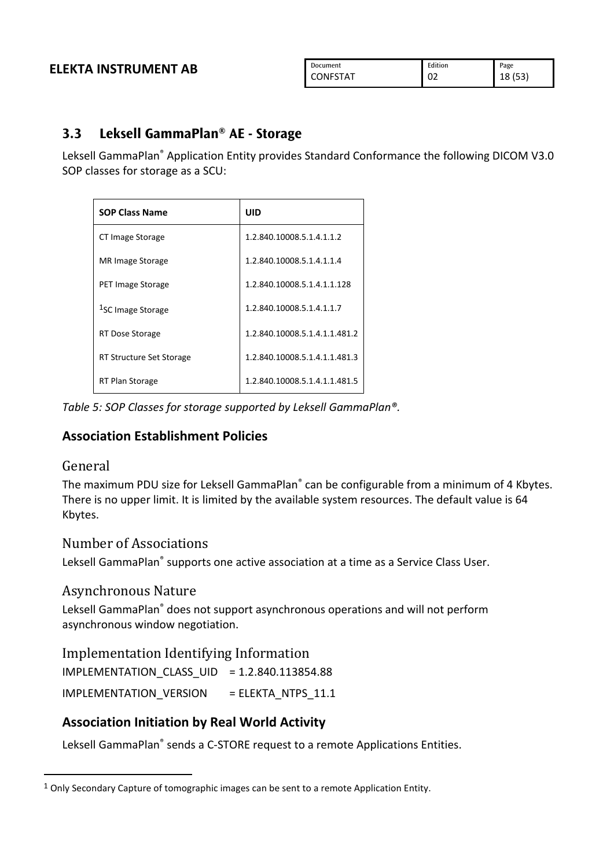| Document          | Edition | Page    |
|-------------------|---------|---------|
| <b>I</b> CONFSTAT | 02      | 18 (53) |

### **3.3 Leksell GammaPlan® AE - Storage**

Leksell GammaPlan® Application Entity provides Standard Conformance the following DICOM V3.0 SOP classes for storage as a SCU:

| <b>SOP Class Name</b>         | UID                           |
|-------------------------------|-------------------------------|
| CT Image Storage              | 1.2.840.10008.5.1.4.1.1.2     |
| <b>MR Image Storage</b>       | 1.2.840.10008.5.1.4.1.1.4     |
| <b>PET Image Storage</b>      | 1.2.840.10008.5.1.4.1.1.128   |
| <sup>1</sup> SC Image Storage | 1.2.840.10008.5.1.4.1.1.7     |
| RT Dose Storage               | 1.2.840.10008.5.1.4.1.1.481.2 |
| RT Structure Set Storage      | 1.2.840.10008.5.1.4.1.1.481.3 |
| <b>RT Plan Storage</b>        | 1.2.840.10008.5.1.4.1.1.481.5 |

*Table 5: SOP Classes for storage supported by Leksell GammaPlan®.*

#### **Association Establishment Policies**

#### General

The maximum PDU size for Leksell GammaPlan® can be configurable from a minimum of 4 Kbytes. There is no upper limit. It is limited by the available system resources. The default value is 64 Kbytes.

#### Number of Associations

Leksell GammaPlan® supports one active association at a time as a Service Class User.

#### Asynchronous Nature

Leksell GammaPlan® does not support asynchronous operations and will not perform asynchronous window negotiation.

Implementation Identifying Information IMPLEMENTATION\_CLASS\_UID = 1.2.840.113854.88 IMPLEMENTATION\_VERSION = ELEKTA\_NTPS\_11.1

### **Association Initiation by Real World Activity**

Leksell GammaPlan® sends a C-STORE request to a remote Applications Entities.

<sup>1</sup> Only Secondary Capture of tomographic images can be sent to a remote Application Entity.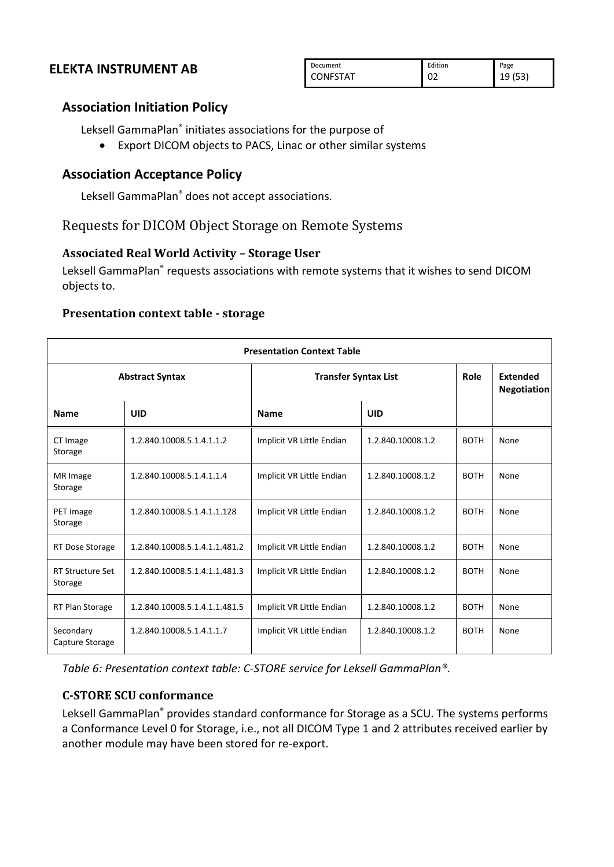| Document          | Edition | Page    |
|-------------------|---------|---------|
| <b>I</b> CONFSTAT | 02      | 19 (53) |

#### **Association Initiation Policy**

Leksell GammaPlan® initiates associations for the purpose of

• Export DICOM objects to PACS, Linac or other similar systems

#### **Association Acceptance Policy**

Leksell GammaPlan® does not accept associations.

Requests for DICOM Object Storage on Remote Systems

#### **Associated Real World Activity – Storage User**

Leksell GammaPlan® requests associations with remote systems that it wishes to send DICOM objects to.

#### **Presentation context table - storage**

| <b>Presentation Context Table</b>  |                               |                             |                   |             |      |      |                                       |
|------------------------------------|-------------------------------|-----------------------------|-------------------|-------------|------|------|---------------------------------------|
| <b>Abstract Syntax</b>             |                               | <b>Transfer Syntax List</b> |                   |             |      | Role | <b>Extended</b><br><b>Negotiation</b> |
| <b>Name</b>                        | <b>UID</b>                    | <b>Name</b>                 | <b>UID</b>        |             |      |      |                                       |
| CT Image<br>Storage                | 1.2.840.10008.5.1.4.1.1.2     | Implicit VR Little Endian   | 1.2.840.10008.1.2 | <b>BOTH</b> | None |      |                                       |
| MR Image<br>Storage                | 1.2.840.10008.5.1.4.1.1.4     | Implicit VR Little Endian   | 1.2.840.10008.1.2 | <b>BOTH</b> | None |      |                                       |
| PET Image<br>Storage               | 1.2.840.10008.5.1.4.1.1.128   | Implicit VR Little Endian   | 1.2.840.10008.1.2 | <b>BOTH</b> | None |      |                                       |
| RT Dose Storage                    | 1.2.840.10008.5.1.4.1.1.481.2 | Implicit VR Little Endian   | 1.2.840.10008.1.2 | <b>BOTH</b> | None |      |                                       |
| <b>RT Structure Set</b><br>Storage | 1.2.840.10008.5.1.4.1.1.481.3 | Implicit VR Little Endian   | 1.2.840.10008.1.2 | <b>BOTH</b> | None |      |                                       |
| RT Plan Storage                    | 1.2.840.10008.5.1.4.1.1.481.5 | Implicit VR Little Endian   | 1.2.840.10008.1.2 | <b>BOTH</b> | None |      |                                       |
| Secondary<br>Capture Storage       | 1.2.840.10008.5.1.4.1.1.7     | Implicit VR Little Endian   | 1.2.840.10008.1.2 | <b>BOTH</b> | None |      |                                       |

*Table 6: Presentation context table: C-STORE service for Leksell GammaPlan®.*

#### **C-STORE SCU conformance**

Leksell GammaPlan® provides standard conformance for Storage as a SCU. The systems performs a Conformance Level 0 for Storage, i.e., not all DICOM Type 1 and 2 attributes received earlier by another module may have been stored for re-export.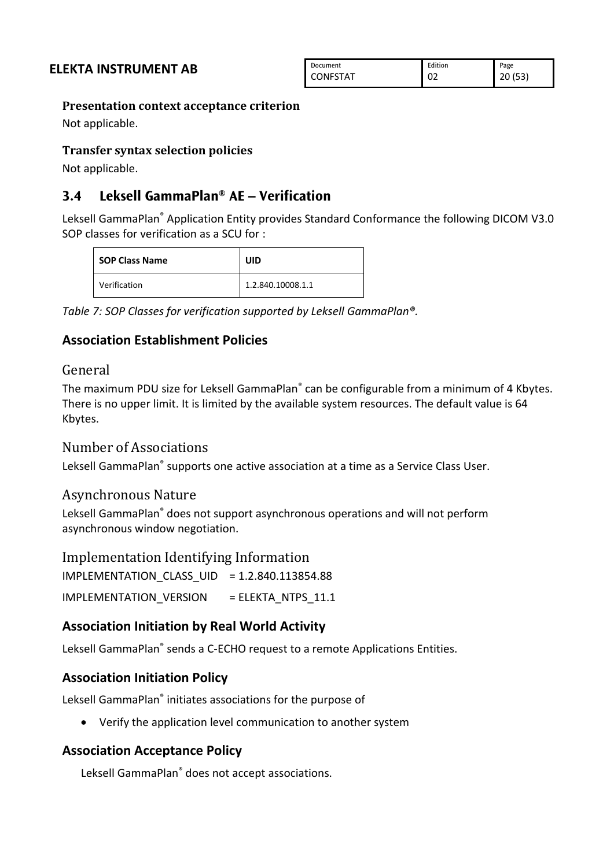| Document        | Edition | Page   |
|-----------------|---------|--------|
| <b>CONFSTAT</b> | 02      | 20(53) |

**Presentation context acceptance criterion**

Not applicable.

#### **Transfer syntax selection policies**

Not applicable.

# **3.4 Leksell GammaPlan® AE – Verification**

Leksell GammaPlan® Application Entity provides Standard Conformance the following DICOM V3.0 SOP classes for verification as a SCU for :

| <b>SOP Class Name</b> | UID               |
|-----------------------|-------------------|
| Verification          | 1.2.840.10008.1.1 |

*Table 7: SOP Classes for verification supported by Leksell GammaPlan®.*

#### **Association Establishment Policies**

#### General

The maximum PDU size for Leksell GammaPlan® can be configurable from a minimum of 4 Kbytes. There is no upper limit. It is limited by the available system resources. The default value is 64 Kbytes.

#### Number of Associations

Leksell GammaPlan® supports one active association at a time as a Service Class User.

### Asynchronous Nature

Leksell GammaPlan® does not support asynchronous operations and will not perform asynchronous window negotiation.

Implementation Identifying Information IMPLEMENTATION\_CLASS\_UID = 1.2.840.113854.88 IMPLEMENTATION\_VERSION = ELEKTA\_NTPS\_11.1

### **Association Initiation by Real World Activity**

Leksell GammaPlan® sends a C-ECHO request to a remote Applications Entities.

### **Association Initiation Policy**

Leksell GammaPlan® initiates associations for the purpose of

• Verify the application level communication to another system

### **Association Acceptance Policy**

Leksell GammaPlan® does not accept associations.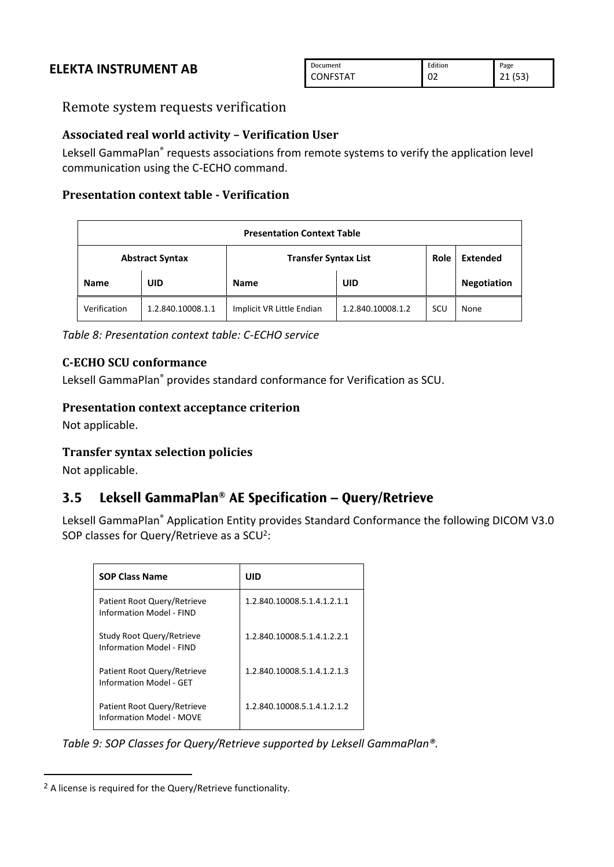| <b>ELEKTA INSTRUMENT AB</b> | Document         |
|-----------------------------|------------------|
|                             | <b>LCONESTAT</b> |

| Document   | Edition | Page    |
|------------|---------|---------|
| I CONFSTAT | 02      | 21 (53) |

#### Remote system requests verification

#### **Associated real world activity – Verification User**

Leksell GammaPlan® requests associations from remote systems to verify the application level communication using the C-ECHO command.

#### **Presentation context table - Verification**

| <b>Presentation Context Table</b> |                        |                             |                   |      |                    |
|-----------------------------------|------------------------|-----------------------------|-------------------|------|--------------------|
|                                   | <b>Abstract Syntax</b> | <b>Transfer Syntax List</b> |                   | Role | <b>Extended</b>    |
| <b>Name</b>                       | UID                    | <b>Name</b>                 | <b>UID</b>        |      | <b>Negotiation</b> |
| Verification                      | 1.2.840.10008.1.1      | Implicit VR Little Endian   | 1.2.840.10008.1.2 | SCU  | None               |

*Table 8: Presentation context table: C-ECHO service*

#### **C-ECHO SCU conformance**

Leksell GammaPlan® provides standard conformance for Verification as SCU.

#### **Presentation context acceptance criterion**

Not applicable.

#### **Transfer syntax selection policies**

Not applicable.

# **3.5 Leksell GammaPlan® AE Specification – Query/Retrieve**

Leksell GammaPlan® Application Entity provides Standard Conformance the following DICOM V3.0 SOP classes for Query/Retrieve as a SCU<sup>2</sup>:

| <b>SOP Class Name</b>                                          | UID                         |
|----------------------------------------------------------------|-----------------------------|
| Patient Root Query/Retrieve<br><b>Information Model - FIND</b> | 1.2.840.10008.5.1.4.1.2.1.1 |
| Study Root Query/Retrieve<br>Information Model - FIND          | 1.2.840.10008.5.1.4.1.2.2.1 |
| Patient Root Query/Retrieve<br>Information Model - GET         | 1.2.840.10008.5.1.4.1.2.1.3 |
| Patient Root Query/Retrieve<br><b>Information Model - MOVE</b> | 1.2.840.10008.5.1.4.1.2.1.2 |

*Table 9: SOP Classes for Query/Retrieve supported by Leksell GammaPlan®.*

<sup>&</sup>lt;sup>2</sup> A license is required for the Query/Retrieve functionality.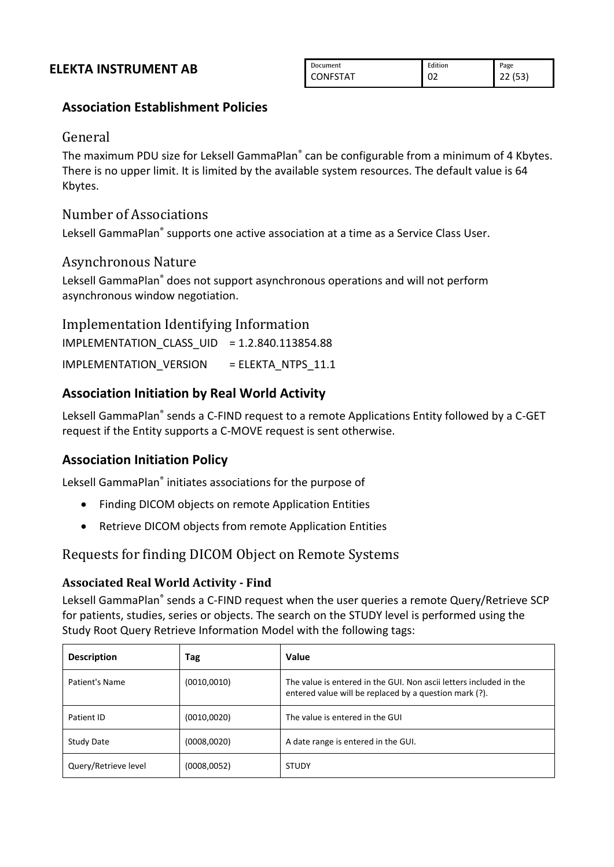| Document          | Edition | Page   |
|-------------------|---------|--------|
| <b>I</b> CONFSTAT |         | 22(53) |

#### **Association Establishment Policies**

#### General

The maximum PDU size for Leksell GammaPlan® can be configurable from a minimum of 4 Kbytes. There is no upper limit. It is limited by the available system resources. The default value is 64 Kbytes.

#### Number of Associations

Leksell GammaPlan® supports one active association at a time as a Service Class User.

#### Asynchronous Nature

Leksell GammaPlan® does not support asynchronous operations and will not perform asynchronous window negotiation.

| Implementation Identifying Information       |                      |
|----------------------------------------------|----------------------|
| IMPLEMENTATION CLASS UID = 1.2.840.113854.88 |                      |
| <b>IMPLEMENTATION VERSION</b>                | $=$ ELEKTA NTPS 11.1 |

#### **Association Initiation by Real World Activity**

Leksell GammaPlan® sends a C-FIND request to a remote Applications Entity followed by a C-GET request if the Entity supports a C-MOVE request is sent otherwise.

### **Association Initiation Policy**

Leksell GammaPlan® initiates associations for the purpose of

- Finding DICOM objects on remote Application Entities
- Retrieve DICOM objects from remote Application Entities

### Requests for finding DICOM Object on Remote Systems

#### **Associated Real World Activity - Find**

Leksell GammaPlan<sup>®</sup> sends a C-FIND request when the user queries a remote Query/Retrieve SCP for patients, studies, series or objects. The search on the STUDY level is performed using the Study Root Query Retrieve Information Model with the following tags:

| <b>Description</b>   | Tag          | Value                                                                                                                        |
|----------------------|--------------|------------------------------------------------------------------------------------------------------------------------------|
| Patient's Name       | (0010, 0010) | The value is entered in the GUI. Non ascii letters included in the<br>entered value will be replaced by a question mark (?). |
| Patient ID           | (0010, 0020) | The value is entered in the GUI                                                                                              |
| Study Date           | (0008,0020)  | A date range is entered in the GUI.                                                                                          |
| Query/Retrieve level | (0008, 0052) | <b>STUDY</b>                                                                                                                 |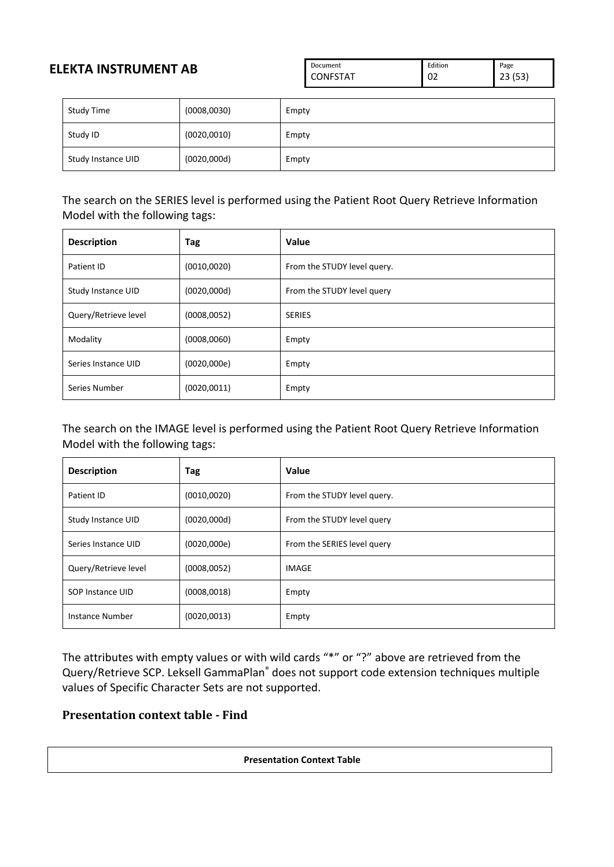| Document | Edition | Page |
|----------|---------|------|
| CONFSTAT |         |      |

| Study Time         | (0008,0030)  | Empty |
|--------------------|--------------|-------|
| Study ID           | (0020, 0010) | Empty |
| Study Instance UID | (0020,000d)  | Empty |

#### The search on the SERIES level is performed using the Patient Root Query Retrieve Information Model with the following tags:

| <b>Description</b>   | Tag          | Value                       |
|----------------------|--------------|-----------------------------|
| Patient ID           | (0010, 0020) | From the STUDY level query. |
| Study Instance UID   | (0020,000d)  | From the STUDY level query  |
| Query/Retrieve level | (0008, 0052) | <b>SERIES</b>               |
| Modality             | (0008,0060)  | Empty                       |
| Series Instance UID  | (0020,000e)  | Empty                       |
| Series Number        | (0020, 0011) | Empty                       |

The search on the IMAGE level is performed using the Patient Root Query Retrieve Information Model with the following tags:

| <b>Description</b>   | Tag          | Value                       |
|----------------------|--------------|-----------------------------|
| Patient ID           | (0010, 0020) | From the STUDY level query. |
| Study Instance UID   | (0020,000d)  | From the STUDY level query  |
| Series Instance UID  | (0020,000e)  | From the SERIES level query |
| Query/Retrieve level | (0008, 0052) | <b>IMAGE</b>                |
| SOP Instance UID     | (0008, 0018) | Empty                       |
| Instance Number      | (0020, 0013) | Empty                       |

The attributes with empty values or with wild cards "\*" or "?" above are retrieved from the Query/Retrieve SCP. Leksell GammaPlan® does not support code extension techniques multiple values of Specific Character Sets are not supported.

#### **Presentation context table - Find**

**Presentation Context Table**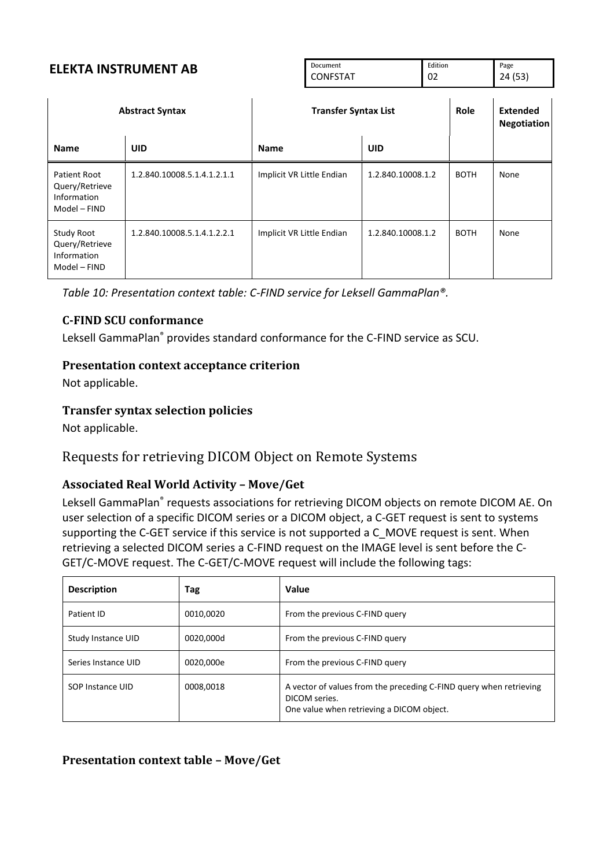| Document | Edition | Page    |
|----------|---------|---------|
| CONFSTAT |         | 24 (53) |

| <b>Abstract Syntax</b>                                             |                             | <b>Transfer Syntax List</b> |                   | Role        | <b>Extended</b><br><b>Negotiation</b> |
|--------------------------------------------------------------------|-----------------------------|-----------------------------|-------------------|-------------|---------------------------------------|
| <b>Name</b>                                                        | <b>UID</b>                  | <b>Name</b>                 | <b>UID</b>        |             |                                       |
| Patient Root<br>Query/Retrieve<br>Information<br>Model - FIND      | 1.2.840.10008.5.1.4.1.2.1.1 | Implicit VR Little Endian   | 1.2.840.10008.1.2 | <b>BOTH</b> | None                                  |
| <b>Study Root</b><br>Query/Retrieve<br>Information<br>Model - FIND | 1.2.840.10008.5.1.4.1.2.2.1 | Implicit VR Little Endian   | 1.2.840.10008.1.2 | <b>BOTH</b> | None                                  |

*Table 10: Presentation context table: C-FIND service for Leksell GammaPlan®.*

#### **C-FIND SCU conformance**

Leksell GammaPlan® provides standard conformance for the C-FIND service as SCU.

#### **Presentation context acceptance criterion**

Not applicable.

#### **Transfer syntax selection policies**

Not applicable.

#### Requests for retrieving DICOM Object on Remote Systems

#### **Associated Real World Activity – Move/Get**

Leksell GammaPlan® requests associations for retrieving DICOM objects on remote DICOM AE. On user selection of a specific DICOM series or a DICOM object, a C-GET request is sent to systems supporting the C-GET service if this service is not supported a C\_MOVE request is sent. When retrieving a selected DICOM series a C-FIND request on the IMAGE level is sent before the C-GET/C-MOVE request. The C-GET/C-MOVE request will include the following tags:

| <b>Description</b>  | Tag       | <b>Value</b>                                                                                                                     |
|---------------------|-----------|----------------------------------------------------------------------------------------------------------------------------------|
| Patient ID          | 0010,0020 | From the previous C-FIND query                                                                                                   |
| Study Instance UID  | 0020,000d | From the previous C-FIND query                                                                                                   |
| Series Instance UID | 0020,000e | From the previous C-FIND query                                                                                                   |
| SOP Instance UID    | 0008,0018 | A vector of values from the preceding C-FIND query when retrieving<br>DICOM series.<br>One value when retrieving a DICOM object. |

#### **Presentation context table – Move/Get**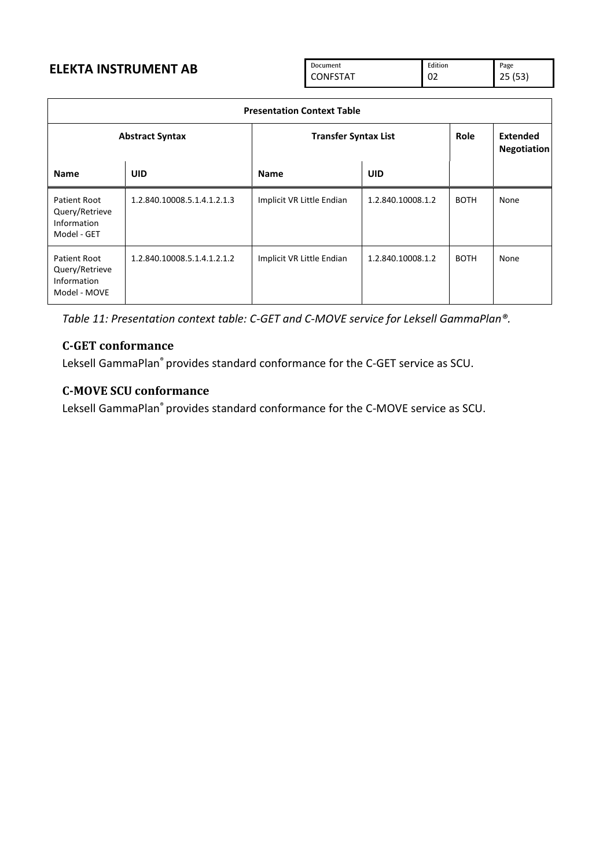| <b>ELEKTA INSTRUMENT AB</b> | Document      |
|-----------------------------|---------------|
|                             | <b>LOUVEC</b> |

| Document        | Edition | Page   |
|-----------------|---------|--------|
| <b>CONFSTAT</b> | 02      | 25(53) |

| <b>Presentation Context Table</b>                             |                             |                             |                   |             |                                       |  |  |
|---------------------------------------------------------------|-----------------------------|-----------------------------|-------------------|-------------|---------------------------------------|--|--|
|                                                               | <b>Abstract Syntax</b>      | <b>Transfer Syntax List</b> |                   | Role        | <b>Extended</b><br><b>Negotiation</b> |  |  |
| <b>Name</b>                                                   | <b>UID</b>                  | <b>Name</b>                 | <b>UID</b>        |             |                                       |  |  |
| Patient Root<br>Query/Retrieve<br>Information<br>Model - GET  | 1.2.840.10008.5.1.4.1.2.1.3 | Implicit VR Little Endian   | 1.2.840.10008.1.2 | <b>BOTH</b> | None                                  |  |  |
| Patient Root<br>Query/Retrieve<br>Information<br>Model - MOVE | 1.2.840.10008.5.1.4.1.2.1.2 | Implicit VR Little Endian   | 1.2.840.10008.1.2 | <b>BOTH</b> | None                                  |  |  |

*Table 11: Presentation context table: C-GET and C-MOVE service for Leksell GammaPlan®.*

#### **C-GET conformance**

Leksell GammaPlan® provides standard conformance for the C-GET service as SCU.

#### **C-MOVE SCU conformance**

Leksell GammaPlan® provides standard conformance for the C-MOVE service as SCU.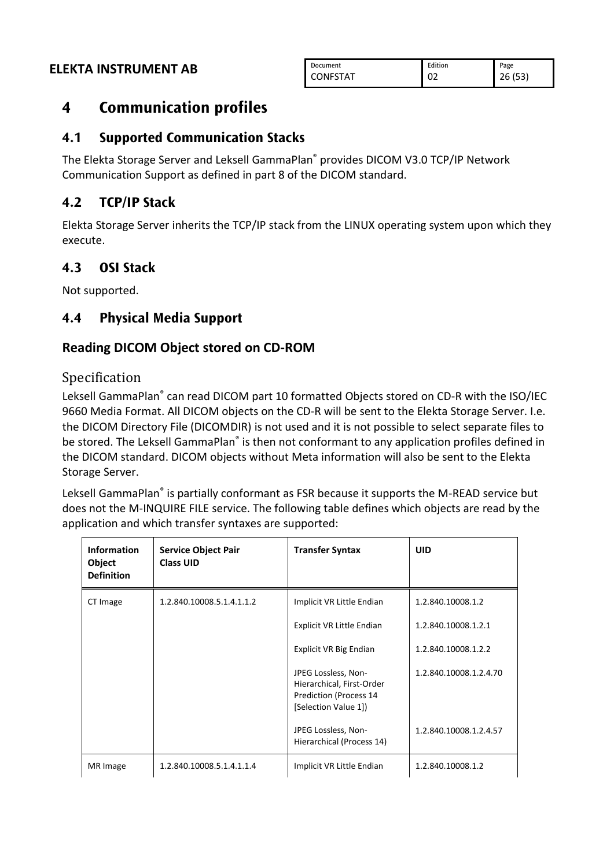| Document        | Edition | Page   |
|-----------------|---------|--------|
| <b>CONFSTAT</b> |         | 26(53) |

# **4 Communication profiles**

### **4.1 Supported Communication Stacks**

The Elekta Storage Server and Leksell GammaPlan® provides DICOM V3.0 TCP/IP Network Communication Support as defined in part 8 of the DICOM standard.

### **4.2 TCP/IP Stack**

Elekta Storage Server inherits the TCP/IP stack from the LINUX operating system upon which they execute.

### **4.3 OSI Stack**

Not supported.

### **4.4 Physical Media Support**

#### **Reading DICOM Object stored on CD-ROM**

#### Specification

Leksell GammaPlan® can read DICOM part 10 formatted Objects stored on CD-R with the ISO/IEC 9660 Media Format. All DICOM objects on the CD-R will be sent to the Elekta Storage Server. I.e. the DICOM Directory File (DICOMDIR) is not used and it is not possible to select separate files to be stored. The Leksell GammaPlan<sup>®</sup> is then not conformant to any application profiles defined in the DICOM standard. DICOM objects without Meta information will also be sent to the Elekta Storage Server.

Leksell GammaPlan® is partially conformant as FSR because it supports the M-READ service but does not the M-INQUIRE FILE service. The following table defines which objects are read by the application and which transfer syntaxes are supported:

| <b>Information</b><br><b>Object</b><br><b>Definition</b> | <b>Service Object Pair</b><br><b>Class UID</b> | <b>Transfer Syntax</b>                                                                                    | <b>UID</b>             |
|----------------------------------------------------------|------------------------------------------------|-----------------------------------------------------------------------------------------------------------|------------------------|
| CT Image                                                 | 1.2.840.10008.5.1.4.1.1.2                      | Implicit VR Little Endian                                                                                 | 1.2.840.10008.1.2      |
|                                                          |                                                | Explicit VR Little Endian                                                                                 | 1.2.840.10008.1.2.1    |
|                                                          |                                                | <b>Explicit VR Big Endian</b>                                                                             | 1.2.840.10008.1.2.2    |
|                                                          |                                                | JPEG Lossless, Non-<br>Hierarchical, First-Order<br><b>Prediction (Process 14</b><br>[Selection Value 1]) | 1.2.840.10008.1.2.4.70 |
|                                                          |                                                | JPEG Lossless, Non-<br>Hierarchical (Process 14)                                                          | 1.2.840.10008.1.2.4.57 |
| MR Image                                                 | 1.2.840.10008.5.1.4.1.1.4                      | Implicit VR Little Endian                                                                                 | 1.2.840.10008.1.2      |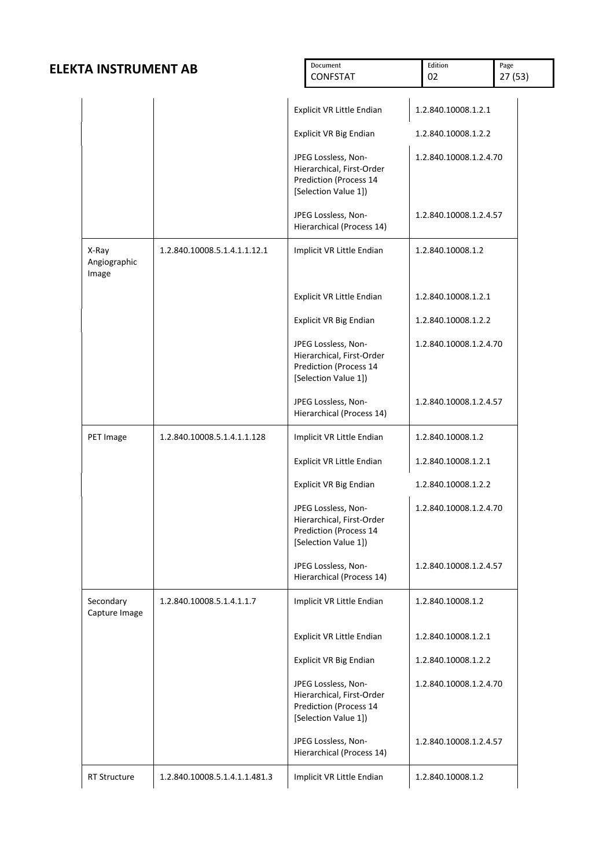| <b>ELEKTA INSTRUMENT AB</b>    |                              | Document<br><b>CONFSTAT</b>                                                                        | Edition<br>02          | Page<br>27(53) |
|--------------------------------|------------------------------|----------------------------------------------------------------------------------------------------|------------------------|----------------|
|                                |                              | Explicit VR Little Endian                                                                          | 1.2.840.10008.1.2.1    |                |
|                                |                              | Explicit VR Big Endian                                                                             | 1.2.840.10008.1.2.2    |                |
|                                |                              | JPEG Lossless, Non-<br>Hierarchical, First-Order<br>Prediction (Process 14<br>[Selection Value 1]) | 1.2.840.10008.1.2.4.70 |                |
|                                |                              | JPEG Lossless, Non-<br>Hierarchical (Process 14)                                                   | 1.2.840.10008.1.2.4.57 |                |
| X-Ray<br>Angiographic<br>Image | 1.2.840.10008.5.1.4.1.1.12.1 | Implicit VR Little Endian                                                                          | 1.2.840.10008.1.2      |                |
|                                |                              | Explicit VR Little Endian                                                                          | 1.2.840.10008.1.2.1    |                |
|                                |                              | <b>Explicit VR Big Endian</b>                                                                      | 1.2.840.10008.1.2.2    |                |
|                                |                              | JPEG Lossless, Non-<br>Hierarchical, First-Order<br>Prediction (Process 14<br>[Selection Value 1]) | 1.2.840.10008.1.2.4.70 |                |
|                                |                              | JPEG Lossless, Non-<br>Hierarchical (Process 14)                                                   | 1.2.840.10008.1.2.4.57 |                |
| PET Image                      | 1.2.840.10008.5.1.4.1.1.128  | Implicit VR Little Endian                                                                          | 1.2.840.10008.1.2      |                |
|                                |                              | Explicit VR Little Endian                                                                          | 1.2.840.10008.1.2.1    |                |
|                                |                              | <b>Explicit VR Big Endian</b>                                                                      | 1.2.840.10008.1.2.2    |                |
|                                |                              | JPEG Lossless, Non-<br>Hierarchical, First-Order<br>Prediction (Process 14<br>[Selection Value 1]) | 1.2.840.10008.1.2.4.70 |                |
|                                |                              | JPEG Lossless, Non-<br>Hierarchical (Process 14)                                                   | 1.2.840.10008.1.2.4.57 |                |
| Secondary<br>Capture Image     | 1.2.840.10008.5.1.4.1.1.7    | Implicit VR Little Endian                                                                          | 1.2.840.10008.1.2      |                |
|                                |                              | <b>Explicit VR Little Endian</b>                                                                   | 1.2.840.10008.1.2.1    |                |
|                                |                              | Explicit VR Big Endian                                                                             | 1.2.840.10008.1.2.2    |                |
|                                |                              | JPEG Lossless, Non-<br>Hierarchical, First-Order<br>Prediction (Process 14<br>[Selection Value 1]) | 1.2.840.10008.1.2.4.70 |                |
|                                |                              | JPEG Lossless, Non-<br>Hierarchical (Process 14)                                                   | 1.2.840.10008.1.2.4.57 |                |
|                                |                              |                                                                                                    |                        |                |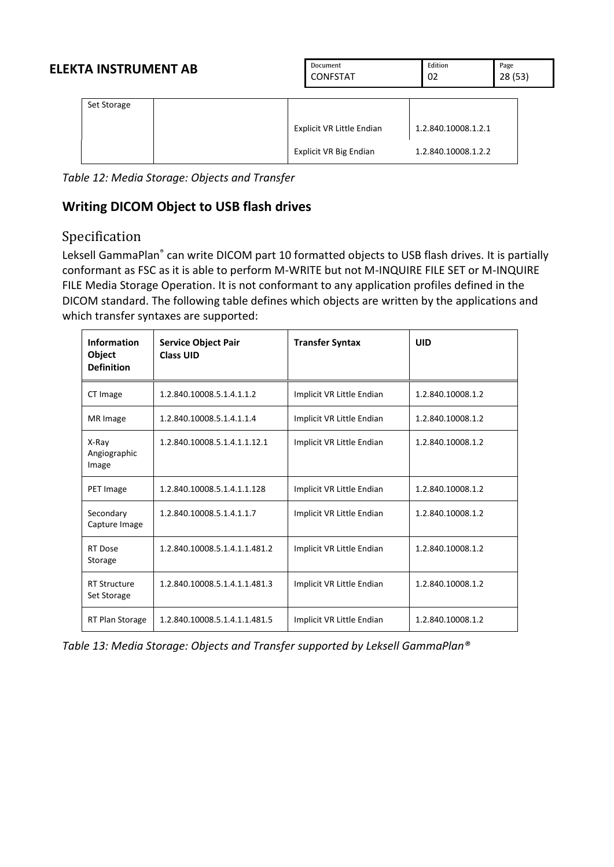| ELEKTA INSTRUMENT AB |             | Document<br><b>CONFSTAT</b> | Edition<br>02             | Page<br>28 (53)     |  |  |
|----------------------|-------------|-----------------------------|---------------------------|---------------------|--|--|
|                      | Set Storage |                             | Explicit VR Little Endian | 1.2.840.10008.1.2.1 |  |  |
|                      |             |                             | Explicit VR Big Endian    | 1.2.840.10008.1.2.2 |  |  |

*Table 12: Media Storage: Objects and Transfer*

# **Writing DICOM Object to USB flash drives**

# Specification

Leksell GammaPlan<sup>®</sup> can write DICOM part 10 formatted objects to USB flash drives. It is partially conformant as FSC as it is able to perform M-WRITE but not M-INQUIRE FILE SET or M-INQUIRE FILE Media Storage Operation. It is not conformant to any application profiles defined in the DICOM standard. The following table defines which objects are written by the applications and which transfer syntaxes are supported:

| <b>Information</b><br>Object<br><b>Definition</b> | <b>Service Object Pair</b><br><b>Class UID</b> | <b>Transfer Syntax</b>    | <b>UID</b>        |
|---------------------------------------------------|------------------------------------------------|---------------------------|-------------------|
| CT Image                                          | 1.2.840.10008.5.1.4.1.1.2                      | Implicit VR Little Endian | 1.2.840.10008.1.2 |
| MR Image                                          | 1.2.840.10008.5.1.4.1.1.4                      | Implicit VR Little Endian | 1.2.840.10008.1.2 |
| X-Ray<br>Angiographic<br>Image                    | 1.2.840.10008.5.1.4.1.1.12.1                   | Implicit VR Little Endian | 1.2.840.10008.1.2 |
| PET Image                                         | 1.2.840.10008.5.1.4.1.1.128                    | Implicit VR Little Endian | 1.2.840.10008.1.2 |
| Secondary<br>Capture Image                        | 1.2.840.10008.5.1.4.1.1.7                      | Implicit VR Little Endian | 1.2.840.10008.1.2 |
| RT Dose<br>Storage                                | 1.2.840.10008.5.1.4.1.1.481.2                  | Implicit VR Little Endian | 1.2.840.10008.1.2 |
| <b>RT Structure</b><br>Set Storage                | 1.2.840.10008.5.1.4.1.1.481.3                  | Implicit VR Little Endian | 1.2.840.10008.1.2 |
| RT Plan Storage                                   | 1.2.840.10008.5.1.4.1.1.481.5                  | Implicit VR Little Endian | 1.2.840.10008.1.2 |

*Table 13: Media Storage: Objects and Transfer supported by Leksell GammaPlan®*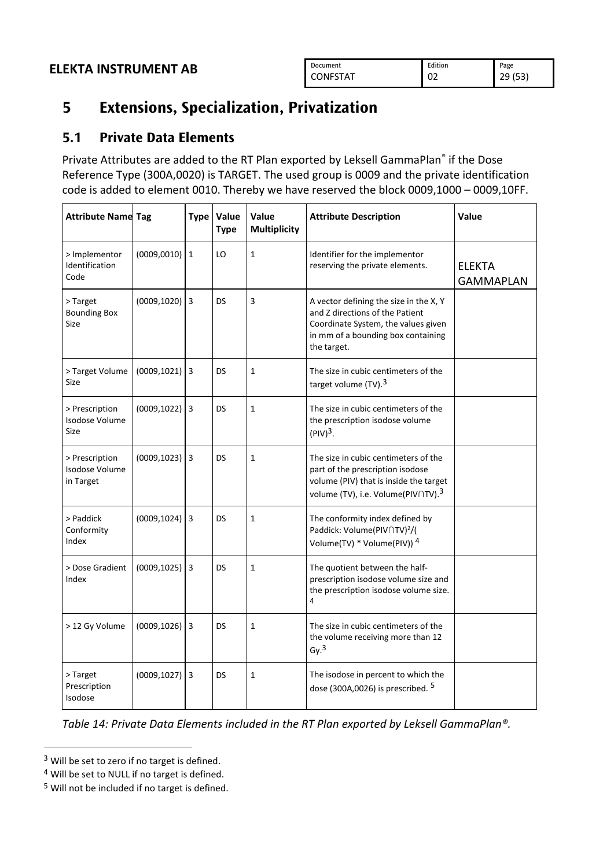| <b>ELEKTA INSTRUMENT AB</b> | Document | Edition | Page                           |
|-----------------------------|----------|---------|--------------------------------|
|                             | LONF'    | 02      | $1 - \alpha$<br>າດ<br>ັບ<br>-- |

# **5 Extensions, Specialization, Privatization**

### **5.1 Private Data Elements**

Private Attributes are added to the RT Plan exported by Leksell GammaPlan® if the Dose Reference Type (300A,0020) is TARGET. The used group is 0009 and the private identification code is added to element 0010. Thereby we have reserved the block 0009,1000 – 0009,10FF.

<span id="page-28-0"></span>

| <b>Attribute Name Tag</b>                     |                  |                | Type   Value<br><b>Type</b> | Value<br><b>Multiplicity</b> | <b>Attribute Description</b>                                                                                                                                                 | Value                             |
|-----------------------------------------------|------------------|----------------|-----------------------------|------------------------------|------------------------------------------------------------------------------------------------------------------------------------------------------------------------------|-----------------------------------|
| > Implementor<br>Identification<br>Code       | $(0009, 0010)$ 1 |                | LO                          | $\mathbf{1}$                 | Identifier for the implementor<br>reserving the private elements.                                                                                                            | <b>ELEKTA</b><br><b>GAMMAPLAN</b> |
| >Target<br><b>Bounding Box</b><br>Size        | (0009, 1020)     | $\overline{3}$ | <b>DS</b>                   | 3                            | A vector defining the size in the X, Y<br>and Z directions of the Patient<br>Coordinate System, the values given<br>in mm of a bounding box containing<br>the target.        |                                   |
| > Target Volume<br>Size                       | (0009, 1021)     | 3              | DS                          | $\mathbf{1}$                 | The size in cubic centimeters of the<br>target volume $(TV).3$                                                                                                               |                                   |
| > Prescription<br>Isodose Volume<br>Size      | (0009, 1022)     | 3              | <b>DS</b>                   | 1                            | The size in cubic centimeters of the<br>the prescription isodose volume<br>$(PIV)3$ .                                                                                        |                                   |
| > Prescription<br>Isodose Volume<br>in Target | (0009, 1023)     | 3              | <b>DS</b>                   | 1                            | The size in cubic centimeters of the<br>part of the prescription isodose<br>volume (PIV) that is inside the target<br>volume (TV), i.e. Volume (PIV $\cap$ TV). <sup>3</sup> |                                   |
| > Paddick<br>Conformity<br>Index              | (0009, 1024)     | $\overline{3}$ | DS                          | $\mathbf{1}$                 | The conformity index defined by<br>Paddick: Volume(PIV $\cap$ TV) <sup>2</sup> /(<br>Volume(TV) * Volume(PIV)) 4                                                             |                                   |
| > Dose Gradient<br>Index                      | (0009, 1025)     | 3              | DS.                         | 1                            | The quotient between the half-<br>prescription isodose volume size and<br>the prescription isodose volume size.<br>4                                                         |                                   |
| > 12 Gy Volume                                | (0009, 1026)     | 3              | DS                          | 1                            | The size in cubic centimeters of the<br>the volume receiving more than 12<br>Gy <sup>3</sup>                                                                                 |                                   |
| >Target<br>Prescription<br>Isodose            | (0009, 1027)     | 3              | <b>DS</b>                   | 1                            | The isodose in percent to which the<br>dose (300A,0026) is prescribed. $5$                                                                                                   |                                   |

<span id="page-28-1"></span>*Table 14: Private Data Elements included in the RT Plan exported by Leksell GammaPlan®.*

<sup>&</sup>lt;sup>3</sup> Will be set to zero if no target is defined.

<sup>4</sup> Will be set to NULL if no target is defined.

<sup>5</sup> Will not be included if no target is defined.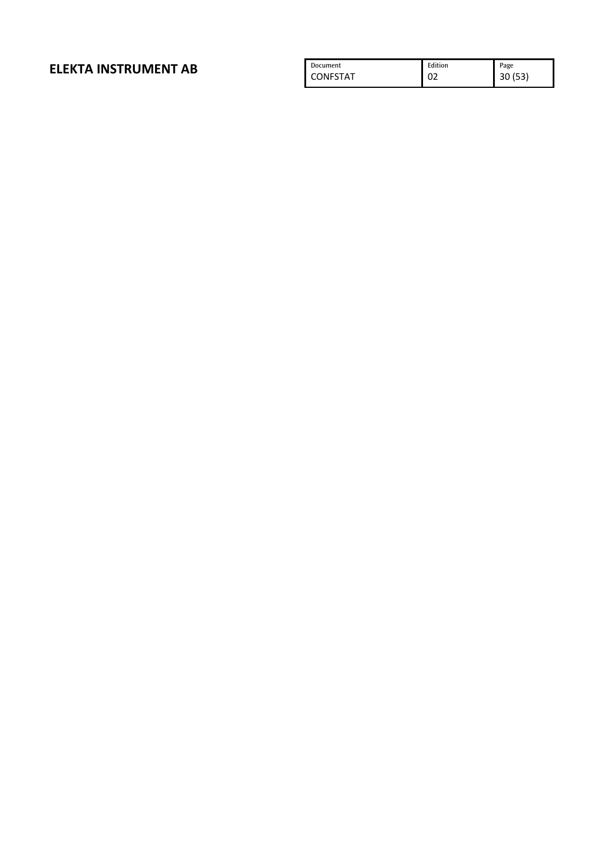| Document        | Edition | Page   |
|-----------------|---------|--------|
| <b>CONFSTAT</b> | 02      | 30(53) |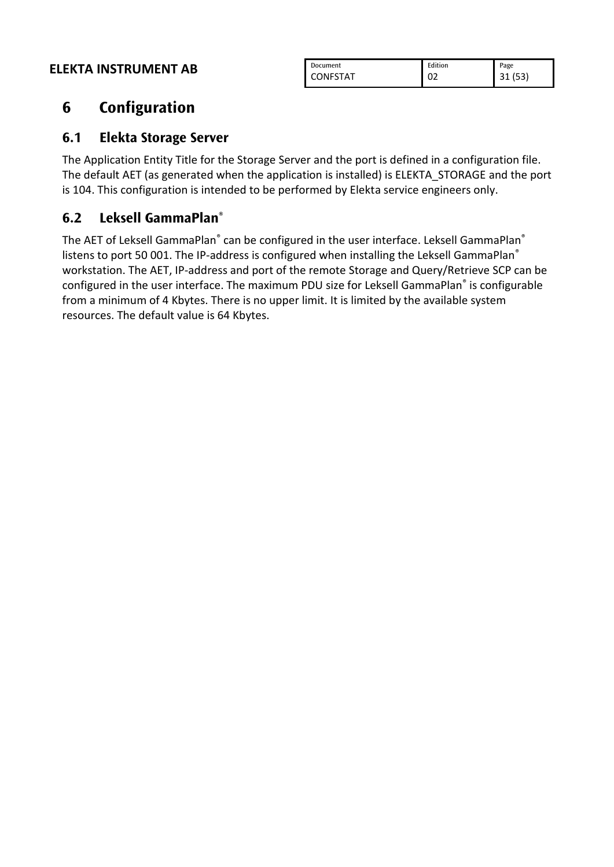| <b>I</b> Document | Edition | Page    |
|-------------------|---------|---------|
| <b>CONFSTAT</b>   | 02      | 31 (53) |

# **6 Configuration**

# **6.1 Elekta Storage Server**

The Application Entity Title for the Storage Server and the port is defined in a configuration file. The default AET (as generated when the application is installed) is ELEKTA\_STORAGE and the port is 104. This configuration is intended to be performed by Elekta service engineers only.

# **6.2 Leksell GammaPlan®**

The AET of Leksell GammaPlan $\degree$  can be configured in the user interface. Leksell GammaPlan $\degree$ listens to port 50 001. The IP-address is configured when installing the Leksell GammaPlan<sup>®</sup> workstation. The AET, IP-address and port of the remote Storage and Query/Retrieve SCP can be configured in the user interface. The maximum PDU size for Leksell GammaPlan® is configurable from a minimum of 4 Kbytes. There is no upper limit. It is limited by the available system resources. The default value is 64 Kbytes.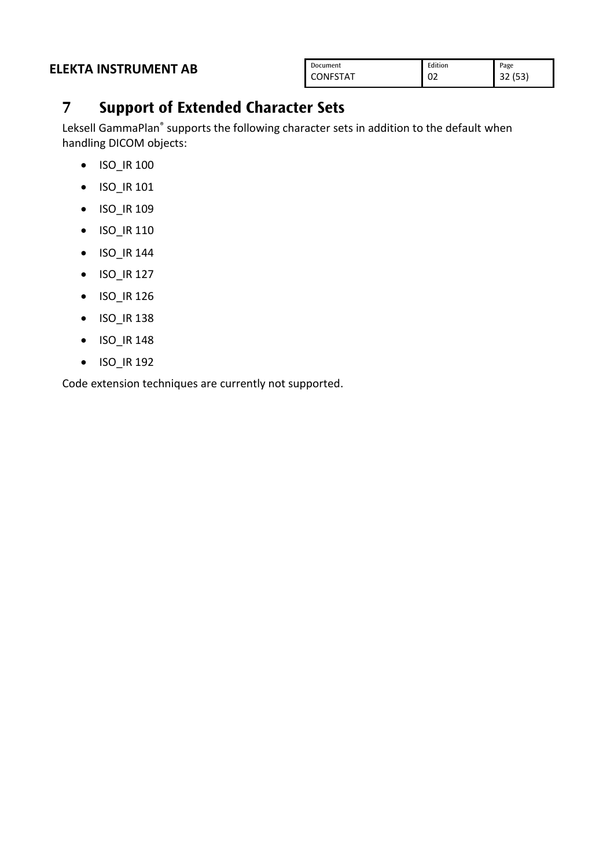| <b>I</b> Document | Edition | Page   |
|-------------------|---------|--------|
| <b>CONFSTAT</b>   | 02      | 32(53) |

# **7 Support of Extended Character Sets**

Leksell GammaPlan® supports the following character sets in addition to the default when handling DICOM objects:

- ISO\_IR 100
- ISO\_IR 101
- ISO\_IR 109
- ISO\_IR 110
- ISO\_IR 144
- ISO\_IR 127
- ISO\_IR 126
- ISO\_IR 138
- ISO\_IR 148
- ISO\_IR 192

Code extension techniques are currently not supported.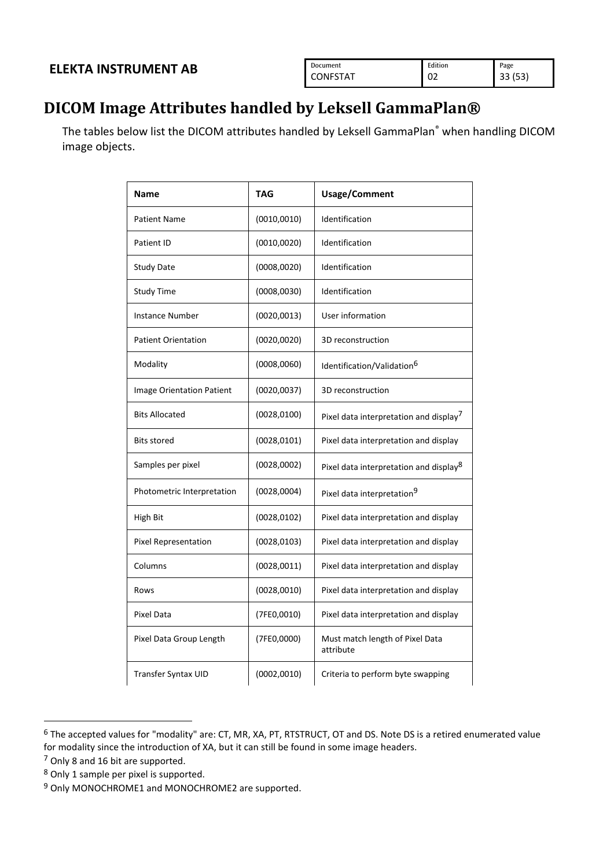| Document        | Edition | Page   |
|-----------------|---------|--------|
| <b>CONFSTAT</b> |         | 33(53) |

# **DICOM Image Attributes handled by Leksell GammaPlan®**

The tables below list the DICOM attributes handled by Leksell GammaPlan® when handling DICOM image objects.

| <b>Name</b>                      | TAG          | <b>Usage/Comment</b>                               |
|----------------------------------|--------------|----------------------------------------------------|
| <b>Patient Name</b>              | (0010, 0010) | Identification                                     |
| Patient ID                       | (0010, 0020) | Identification                                     |
| <b>Study Date</b>                | (0008, 0020) | Identification                                     |
| <b>Study Time</b>                | (0008, 0030) | Identification                                     |
| <b>Instance Number</b>           | (0020, 0013) | User information                                   |
| <b>Patient Orientation</b>       | (0020, 0020) | 3D reconstruction                                  |
| Modality                         | (0008, 0060) | Identification/Validation <sup>6</sup>             |
| <b>Image Orientation Patient</b> | (0020, 0037) | 3D reconstruction                                  |
| <b>Bits Allocated</b>            | (0028, 0100) | Pixel data interpretation and display <sup>7</sup> |
| <b>Bits stored</b>               | (0028, 0101) | Pixel data interpretation and display              |
| Samples per pixel                | (0028,0002)  | Pixel data interpretation and display <sup>8</sup> |
| Photometric Interpretation       | (0028,0004)  | Pixel data interpretation <sup>9</sup>             |
| High Bit                         | (0028, 0102) | Pixel data interpretation and display              |
| <b>Pixel Representation</b>      | (0028, 0103) | Pixel data interpretation and display              |
| Columns                          | (0028, 0011) | Pixel data interpretation and display              |
| Rows                             | (0028, 0010) | Pixel data interpretation and display              |
| Pixel Data                       | (7FE0,0010)  | Pixel data interpretation and display              |
| Pixel Data Group Length          | (7FE0,0000)  | Must match length of Pixel Data<br>attribute       |
| Transfer Syntax UID              | (0002, 0010) | Criteria to perform byte swapping                  |

<sup>6</sup> The accepted values for "modality" are: CT, MR, XA, PT, RTSTRUCT, OT and DS. Note DS is a retired enumerated value for modality since the introduction of XA, but it can still be found in some image headers.

<sup>7</sup> Only 8 and 16 bit are supported.

<sup>8</sup> Only 1 sample per pixel is supported.

<sup>9</sup> Only MONOCHROME1 and MONOCHROME2 are supported.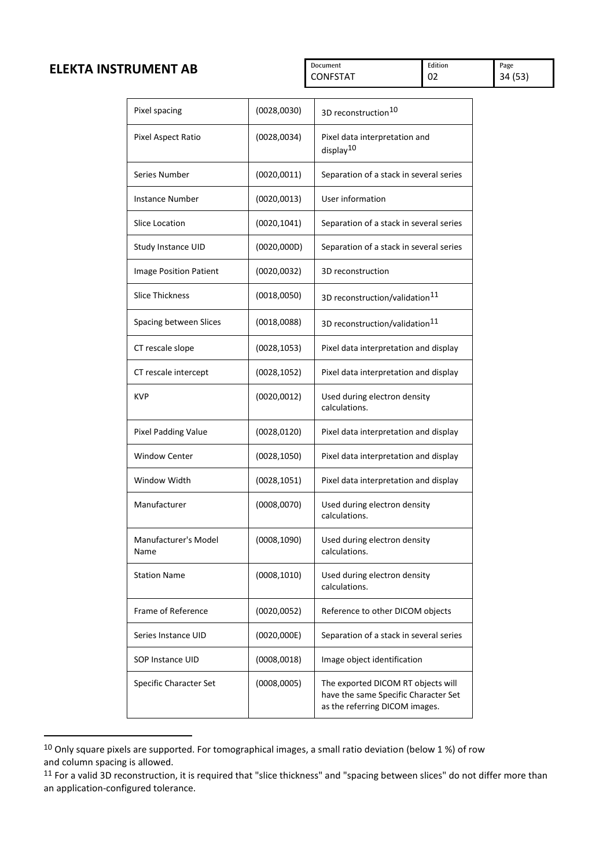<span id="page-33-1"></span><span id="page-33-0"></span>

| Document | Edition | Page    |
|----------|---------|---------|
| CONFSTAT |         | 34 (53) |

| Pixel spacing                 | (0028,0030)  | 3D reconstruction <sup>10</sup>                                                                              |
|-------------------------------|--------------|--------------------------------------------------------------------------------------------------------------|
| Pixel Aspect Ratio            | (0028, 0034) | Pixel data interpretation and<br>display <sup>10</sup>                                                       |
| Series Number                 | (0020, 0011) | Separation of a stack in several series                                                                      |
| <b>Instance Number</b>        | (0020, 0013) | User information                                                                                             |
| Slice Location                | (0020, 1041) | Separation of a stack in several series                                                                      |
| Study Instance UID            | (0020,000D)  | Separation of a stack in several series                                                                      |
| <b>Image Position Patient</b> | (0020, 0032) | 3D reconstruction                                                                                            |
| <b>Slice Thickness</b>        | (0018,0050)  | 3D reconstruction/validation <sup>11</sup>                                                                   |
| Spacing between Slices        | (0018,0088)  | 3D reconstruction/validation <sup>11</sup>                                                                   |
| CT rescale slope              | (0028, 1053) | Pixel data interpretation and display                                                                        |
| CT rescale intercept          | (0028, 1052) | Pixel data interpretation and display                                                                        |
| KVP                           | (0020, 0012) | Used during electron density<br>calculations.                                                                |
| <b>Pixel Padding Value</b>    | (0028, 0120) | Pixel data interpretation and display                                                                        |
| <b>Window Center</b>          | (0028, 1050) | Pixel data interpretation and display                                                                        |
| Window Width                  | (0028, 1051) | Pixel data interpretation and display                                                                        |
| Manufacturer                  | (0008, 0070) | Used during electron density<br>calculations.                                                                |
| Manufacturer's Model<br>Name  | (0008, 1090) | Used during electron density<br>calculations.                                                                |
| <b>Station Name</b>           | (0008, 1010) | Used during electron density<br>calculations.                                                                |
| Frame of Reference            | (0020, 0052) | Reference to other DICOM objects                                                                             |
| Series Instance UID           | (0020,000E)  | Separation of a stack in several series                                                                      |
| <b>SOP Instance UID</b>       | (0008, 0018) | Image object identification                                                                                  |
| Specific Character Set        | (0008,0005)  | The exported DICOM RT objects will<br>have the same Specific Character Set<br>as the referring DICOM images. |

<sup>10</sup> Only square pixels are supported. For tomographical images, a small ratio deviation (below 1 %) of row and column spacing is allowed.

<sup>11</sup> For a valid 3D reconstruction, it is required that "slice thickness" and "spacing between slices" do not differ more than an application-configured tolerance.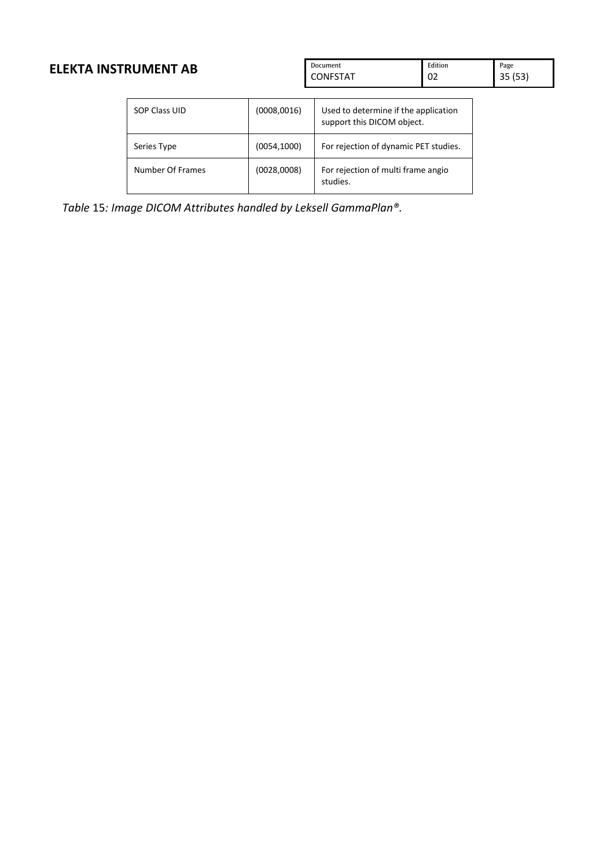| <b>ELEKTA INSTRUMENT AB</b> | Document | Edition | Page                                |
|-----------------------------|----------|---------|-------------------------------------|
|                             | CONFSTAT | -02     | $1 - 2$<br>$\sim$ $\sim$<br>53<br>ັ |

| SOP Class UID    | (0008, 0016) | Used to determine if the application<br>support this DICOM object. |
|------------------|--------------|--------------------------------------------------------------------|
| Series Type      | (0054, 1000) | For rejection of dynamic PET studies.                              |
| Number Of Frames | (0028,0008)  | For rejection of multi frame angio<br>studies.                     |

*Table* 15*: Image DICOM Attributes handled by Leksell GammaPlan®.*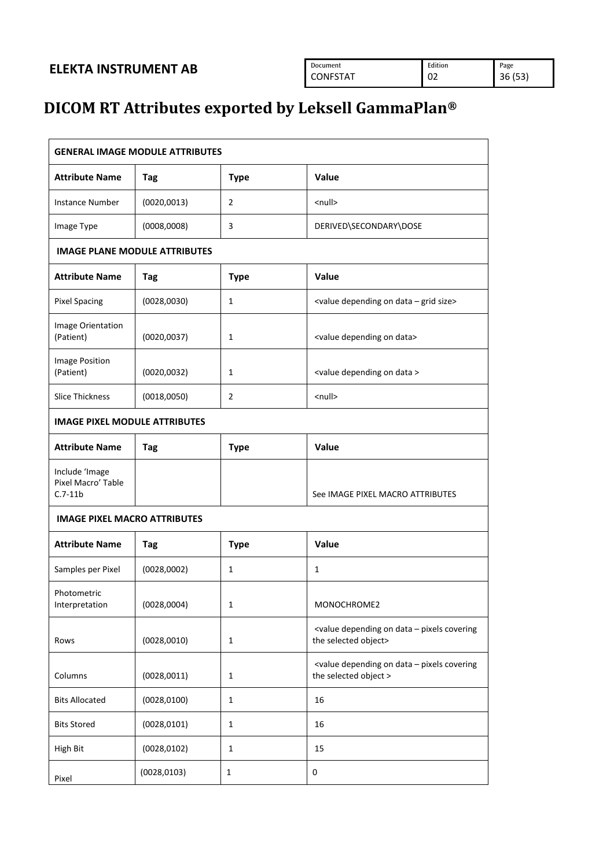| Document        | Edition | Page   |
|-----------------|---------|--------|
| <b>CONFSTAT</b> |         | 36(53) |

# **DICOM RT Attributes exported by Leksell GammaPlan®**

| <b>GENERAL IMAGE MODULE ATTRIBUTES</b>            |                                      |                |                                                                                                  |  |
|---------------------------------------------------|--------------------------------------|----------------|--------------------------------------------------------------------------------------------------|--|
| <b>Attribute Name</b>                             | Tag                                  | <b>Type</b>    | Value                                                                                            |  |
| <b>Instance Number</b>                            | (0020, 0013)                         | $\overline{2}$ | <null></null>                                                                                    |  |
| Image Type                                        | (0008,0008)                          | 3              | DERIVED\SECONDARY\DOSE                                                                           |  |
|                                                   | <b>IMAGE PLANE MODULE ATTRIBUTES</b> |                |                                                                                                  |  |
| <b>Attribute Name</b>                             | Tag                                  | <b>Type</b>    | Value                                                                                            |  |
| <b>Pixel Spacing</b>                              | (0028, 0030)                         | 1              | <value -="" data="" depending="" grid="" on="" size=""></value>                                  |  |
| Image Orientation<br>(Patient)                    | (0020, 0037)                         | 1              | <value data="" depending="" on=""></value>                                                       |  |
| <b>Image Position</b><br>(Patient)                | (0020, 0032)                         | 1              | <value data="" depending="" on=""></value>                                                       |  |
| <b>Slice Thickness</b>                            | (0018, 0050)                         | $\overline{2}$ | <null></null>                                                                                    |  |
| <b>IMAGE PIXEL MODULE ATTRIBUTES</b>              |                                      |                |                                                                                                  |  |
| <b>Attribute Name</b>                             | Tag                                  | <b>Type</b>    | Value                                                                                            |  |
| Include 'Image<br>Pixel Macro' Table<br>$C.7-11b$ |                                      |                | See IMAGE PIXEL MACRO ATTRIBUTES                                                                 |  |
| <b>IMAGE PIXEL MACRO ATTRIBUTES</b>               |                                      |                |                                                                                                  |  |
| <b>Attribute Name</b>                             | Tag                                  | <b>Type</b>    | Value                                                                                            |  |
| Samples per Pixel                                 | (0028,0002)                          | 1              | 1                                                                                                |  |
| Photometric<br>Interpretation                     | (0028,0004)                          | 1              | MONOCHROME2                                                                                      |  |
| Rows                                              | (0028, 0010)                         | 1              | <value -="" covering<br="" data="" depending="" on="" pixels="">the selected object&gt;</value>  |  |
| Columns                                           | (0028, 0011)                         | $\mathbf{1}$   | <value -="" covering<br="" data="" depending="" on="" pixels="">the selected object &gt;</value> |  |
| <b>Bits Allocated</b>                             | (0028, 0100)                         | $\mathbf{1}$   | 16                                                                                               |  |
| <b>Bits Stored</b>                                | (0028, 0101)                         | $\mathbf{1}$   | 16                                                                                               |  |
| High Bit                                          | (0028, 0102)                         | $\mathbf{1}$   | 15                                                                                               |  |
| Pixel                                             | (0028, 0103)                         | $\mathbf{1}$   | 0                                                                                                |  |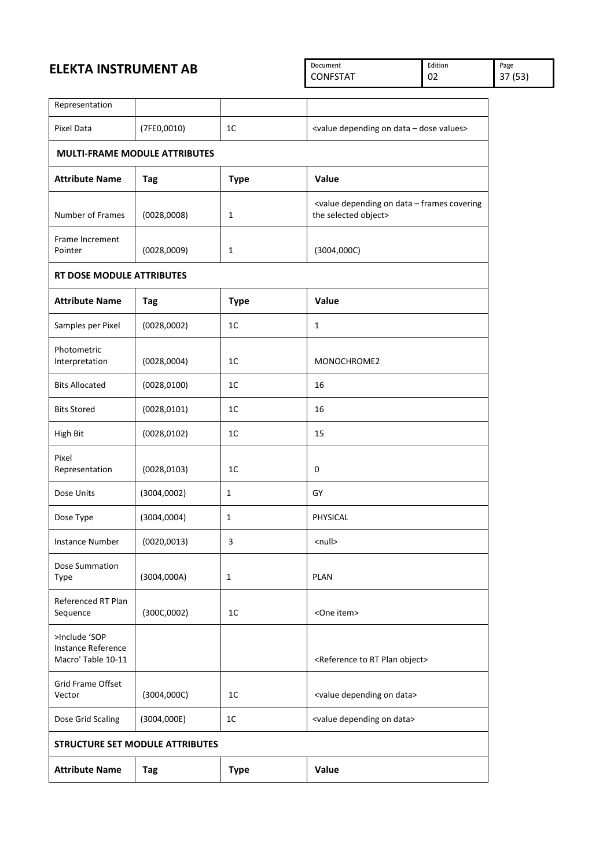| Document        | Edition | Page   |
|-----------------|---------|--------|
| <b>CONFSTAT</b> | 02      | 37(53) |

| (7FE0,0010)                            | 1 <sup>C</sup> | <value -="" data="" depending="" dose="" on="" values=""></value>                               |
|----------------------------------------|----------------|-------------------------------------------------------------------------------------------------|
| <b>MULTI-FRAME MODULE ATTRIBUTES</b>   |                |                                                                                                 |
| <b>Tag</b>                             | <b>Type</b>    | Value                                                                                           |
| (0028,0008)                            | 1              | <value -="" covering<br="" data="" depending="" frames="" on="">the selected object&gt;</value> |
| (0028,0009)                            | $\mathbf{1}$   | (3004,000C)                                                                                     |
| <b>RT DOSE MODULE ATTRIBUTES</b>       |                |                                                                                                 |
| <b>Tag</b>                             | <b>Type</b>    | Value                                                                                           |
| (0028,0002)                            | 1 <sup>C</sup> | 1                                                                                               |
| (0028,0004)                            | 1 <sup>C</sup> | MONOCHROME2                                                                                     |
| (0028, 0100)                           | 1 <sup>C</sup> | 16                                                                                              |
| (0028, 0101)                           | 1 <sup>C</sup> | 16                                                                                              |
| (0028, 0102)                           | 1 <sup>C</sup> | 15                                                                                              |
| (0028, 0103)                           | 1 <sup>C</sup> | $\mathbf 0$                                                                                     |
| (3004,0002)                            | $\mathbf{1}$   | GY                                                                                              |
| (3004,0004)                            | 1              | PHYSICAL                                                                                        |
| (0020, 0013)                           | 3              | <null></null>                                                                                   |
| (3004,000A)                            | 1              | <b>PLAN</b>                                                                                     |
| (300C,0002)                            | 1C             | <one item=""></one>                                                                             |
|                                        |                | <reference object="" plan="" rt="" to=""></reference>                                           |
| (3004,000C)                            | 1C             | <value data="" depending="" on=""></value>                                                      |
| (3004,000E)                            | 1C             | <value data="" depending="" on=""></value>                                                      |
| <b>STRUCTURE SET MODULE ATTRIBUTES</b> |                |                                                                                                 |
| Tag                                    | <b>Type</b>    | Value                                                                                           |
|                                        |                |                                                                                                 |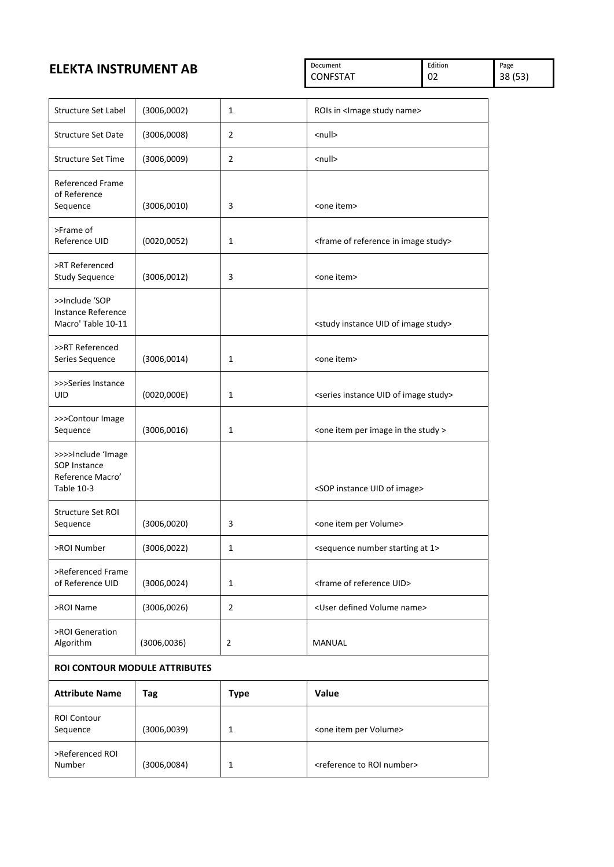| Document        | Edition | Page    |
|-----------------|---------|---------|
| <b>CONFSTAT</b> |         | 38 (53) |

| Structure Set Label                                                         | (3006,0002)  | 1              | ROIs in <image name="" study=""/>                            |  |
|-----------------------------------------------------------------------------|--------------|----------------|--------------------------------------------------------------|--|
| <b>Structure Set Date</b>                                                   | (3006,0008)  | 2              | $\leq$ null $\geq$                                           |  |
| <b>Structure Set Time</b>                                                   | (3006,0009)  | 2              | <null></null>                                                |  |
| <b>Referenced Frame</b><br>of Reference<br>Sequence                         | (3006,0010)  | 3              | <one item=""></one>                                          |  |
| >Frame of<br>Reference UID                                                  | (0020, 0052) | 1              | <frame image="" in="" of="" reference="" study=""/>          |  |
| >RT Referenced<br><b>Study Sequence</b>                                     | (3006,0012)  | 3              | <one item=""></one>                                          |  |
| >>Include 'SOP<br><b>Instance Reference</b><br>Macro' Table 10-11           |              |                | <study image="" instance="" of="" study="" uid=""></study>   |  |
| >>RT Referenced<br>Series Sequence                                          | (3006, 0014) | 1              | <one item=""></one>                                          |  |
| >>>Series Instance<br>UID                                                   | (0020,000E)  | 1              | <series image="" instance="" of="" study="" uid=""></series> |  |
| >>>Contour Image<br>Sequence                                                | (3006,0016)  | 1              | <one image="" in="" item="" per="" study="" the=""></one>    |  |
| >>>>Include 'Image<br><b>SOP Instance</b><br>Reference Macro'<br>Table 10-3 |              |                | <sop image="" instance="" of="" uid=""></sop>                |  |
| <b>Structure Set ROI</b><br>Sequence                                        | (3006,0020)  | 3              | <one item="" per="" volume=""></one>                         |  |
| >ROI Number                                                                 | (3006,0022)  | 1              | <sequence 1="" at="" number="" starting=""></sequence>       |  |
| >Referenced Frame<br>of Reference UID                                       | (3006,0024)  | 1              | <frame of="" reference="" uid=""/>                           |  |
| >ROI Name                                                                   | (3006,0026)  | $\overline{2}$ | <user defined="" name="" volume=""></user>                   |  |
| >ROI Generation<br>Algorithm                                                | (3006,0036)  | $\overline{2}$ | MANUAL                                                       |  |
| <b>ROI CONTOUR MODULE ATTRIBUTES</b>                                        |              |                |                                                              |  |
| <b>Attribute Name</b>                                                       | Tag          | <b>Type</b>    | Value                                                        |  |
| <b>ROI Contour</b><br>Sequence                                              | (3006, 0039) | 1              | <one item="" per="" volume=""></one>                         |  |
| >Referenced ROI<br>Number                                                   | (3006,0084)  | $\mathbf{1}$   | <reference number="" roi="" to=""></reference>               |  |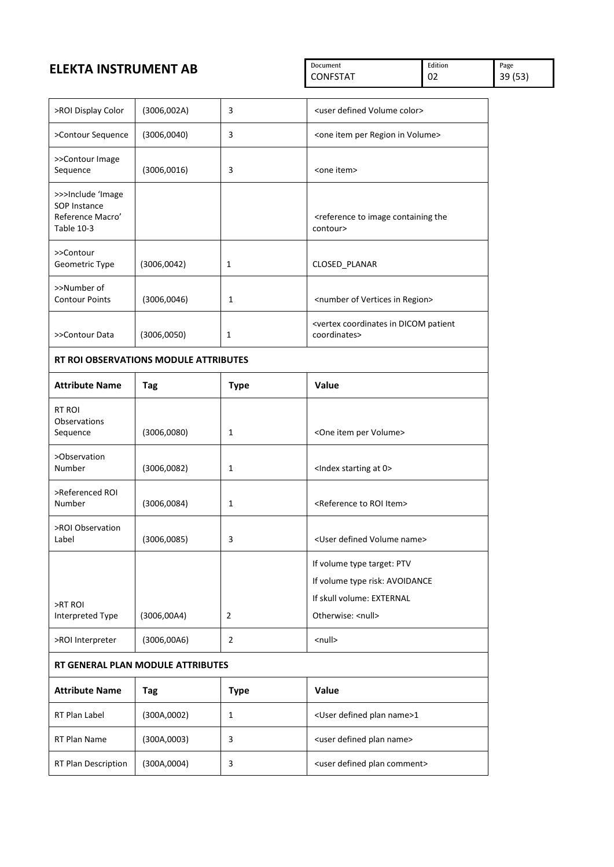| Document        | Edition | Page |
|-----------------|---------|------|
| <b>CONFSTAT</b> |         |      |

| >ROI Display Color                                                  | (3006,002A)                                  | 3              | <user color="" defined="" volume=""></user>                                                                           |
|---------------------------------------------------------------------|----------------------------------------------|----------------|-----------------------------------------------------------------------------------------------------------------------|
| >Contour Sequence                                                   | (3006,0040)                                  | 3              | <one in="" item="" per="" region="" volume=""></one>                                                                  |
| >>Contour Image<br>Sequence                                         | (3006,0016)                                  | 3              | <one item=""></one>                                                                                                   |
| >>>Include 'Image<br>SOP Instance<br>Reference Macro'<br>Table 10-3 |                                              |                | <reference containing="" image="" the<br="" to="">contour&gt;</reference>                                             |
| >>Contour<br>Geometric Type                                         | (3006,0042)                                  | 1              | CLOSED_PLANAR                                                                                                         |
| >>Number of<br><b>Contour Points</b>                                | (3006,0046)                                  | 1              | <number in="" of="" region="" vertices=""></number>                                                                   |
| >>Contour Data                                                      | (3006,0050)                                  | 1              | <vertex coordinates="" dicom="" in="" patient<br="">coordinates&gt;</vertex>                                          |
|                                                                     | <b>RT ROI OBSERVATIONS MODULE ATTRIBUTES</b> |                |                                                                                                                       |
| <b>Attribute Name</b>                                               | Tag                                          | <b>Type</b>    | Value                                                                                                                 |
| RT ROI<br>Observations<br>Sequence                                  | (3006,0080)                                  | 1              | <one item="" per="" volume=""></one>                                                                                  |
| >Observation<br>Number                                              | (3006,0082)                                  | 1              | <lndex 0="" at="" starting=""></lndex>                                                                                |
| >Referenced ROI<br>Number                                           | (3006,0084)                                  | 1              | <reference item="" roi="" to=""></reference>                                                                          |
| >ROI Observation<br>Label                                           | (3006,0085)                                  | 3              | <user defined="" name="" volume=""></user>                                                                            |
| >RT ROI<br>Interpreted Type                                         | (3006,00A4)                                  | $\overline{2}$ | If volume type target: PTV<br>If volume type risk: AVOIDANCE<br>If skull volume: EXTERNAL<br>Otherwise: <null></null> |
| >ROI Interpreter                                                    | (3006,00A6)                                  | 2              | <null></null>                                                                                                         |
|                                                                     | RT GENERAL PLAN MODULE ATTRIBUTES            |                |                                                                                                                       |
| <b>Attribute Name</b>                                               | Tag                                          | <b>Type</b>    | Value                                                                                                                 |
| RT Plan Label                                                       | (300A,0002)                                  | 1              | <user defined="" name="" plan="">1</user>                                                                             |
| RT Plan Name                                                        | (300A,0003)                                  | 3              | <user defined="" name="" plan=""></user>                                                                              |
| RT Plan Description                                                 | (300A,0004)                                  | 3              | <user comment="" defined="" plan=""></user>                                                                           |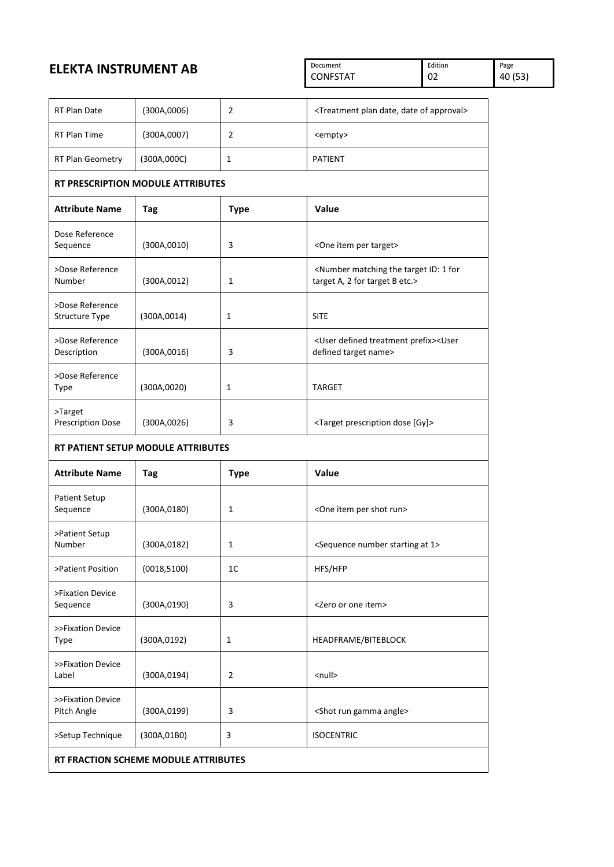| Document   | Edition | Page    |
|------------|---------|---------|
| I CONFSTAT | 02      | 40 (53) |

| RT Plan Date                             | (300A,0006)                               | $\overline{2}$ | <treatment approval="" date="" date,="" of="" plan=""></treatment>                                    |  |
|------------------------------------------|-------------------------------------------|----------------|-------------------------------------------------------------------------------------------------------|--|
| RT Plan Time                             | (300A,0007)                               | $\overline{2}$ | <empty></empty>                                                                                       |  |
| RT Plan Geometry                         | (300A,000C)                               | 1              | <b>PATIENT</b>                                                                                        |  |
| <b>RT PRESCRIPTION MODULE ATTRIBUTES</b> |                                           |                |                                                                                                       |  |
| <b>Attribute Name</b>                    | Tag                                       | <b>Type</b>    | Value                                                                                                 |  |
| Dose Reference<br>Sequence               | (300A, 0010)                              | 3              | <one item="" per="" target=""></one>                                                                  |  |
| >Dose Reference<br>Number                | (300A, 0012)                              | 1              | <number 1="" for<br="" id:="" matching="" target="" the="">target A, 2 for target B etc.&gt;</number> |  |
| >Dose Reference<br>Structure Type        | (300A, 0014)                              | $\mathbf{1}$   | <b>SITE</b>                                                                                           |  |
| >Dose Reference<br>Description           | (300A, 0016)                              | 3              | <user defined="" prefix="" treatment=""><user<br>defined target name&gt;</user<br></user>             |  |
| >Dose Reference<br>Type                  | (300A, 0020)                              | 1              | <b>TARGET</b>                                                                                         |  |
| >Target<br><b>Prescription Dose</b>      | (300A, 0026)                              | 3              | <target [gy]="" dose="" prescription=""></target>                                                     |  |
|                                          | <b>RT PATIENT SETUP MODULE ATTRIBUTES</b> |                |                                                                                                       |  |
| <b>Attribute Name</b>                    | Tag                                       | <b>Type</b>    | Value                                                                                                 |  |
|                                          |                                           |                |                                                                                                       |  |
| <b>Patient Setup</b><br>Sequence         | (300A, 0180)                              | 1              | <one item="" per="" run="" shot=""></one>                                                             |  |
| >Patient Setup<br>Number                 | (300A, 0182)                              | 1              | <sequence 1="" at="" number="" starting=""></sequence>                                                |  |
| >Patient Position                        | (0018, 5100)                              | 1C             | HFS/HFP                                                                                               |  |
| >Fixation Device<br>Sequence             | (300A, 0190)                              | 3              | <zero item="" one="" or=""></zero>                                                                    |  |
| >>Fixation Device<br>Type                | (300A, 0192)                              | $\mathbf{1}$   | HEADFRAME/BITEBLOCK                                                                                   |  |
| >>Fixation Device<br>Label               | (300A, 0194)                              | 2              | <null></null>                                                                                         |  |
| >>Fixation Device<br>Pitch Angle         | (300A, 0199)                              | 3              | <shot angle="" gamma="" run=""></shot>                                                                |  |
| >Setup Technique                         | (300A, 01B0)                              | 3              | <b>ISOCENTRIC</b>                                                                                     |  |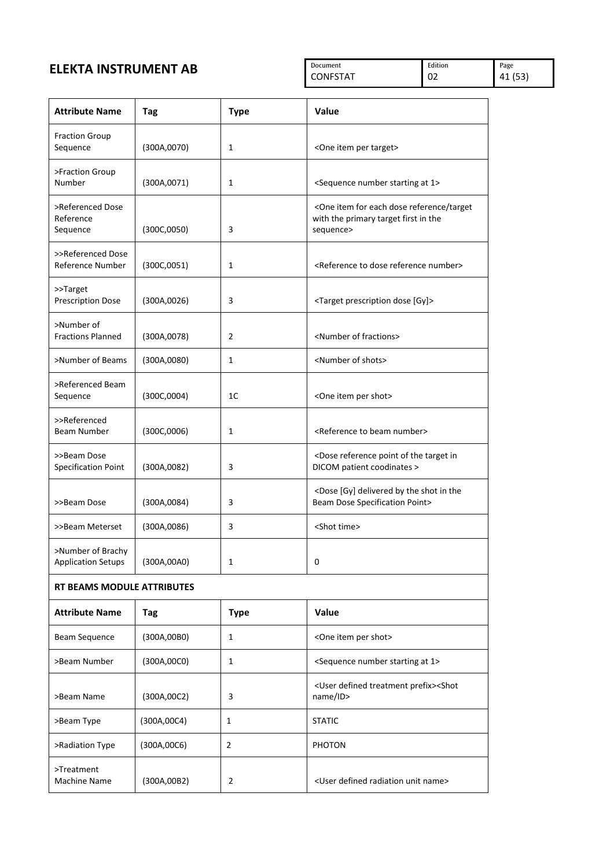| Document        | Edition | Page    |
|-----------------|---------|---------|
| <b>CONFSTAT</b> | 02      | 41 (53) |

| <b>Attribute Name</b>                          | Tag          | <b>Type</b>    | Value                                                                                                                     |
|------------------------------------------------|--------------|----------------|---------------------------------------------------------------------------------------------------------------------------|
| <b>Fraction Group</b><br>Sequence              | (300A, 0070) | 1              | <one item="" per="" target=""></one>                                                                                      |
| >Fraction Group<br>Number                      | (300A, 0071) | 1              | <sequence 1="" at="" number="" starting=""></sequence>                                                                    |
| >Referenced Dose<br>Reference<br>Sequence      | (300C,0050)  | 3              | <one dose="" each="" for="" item="" reference="" target<br="">with the primary target first in the<br/>sequence&gt;</one> |
| >>Referenced Dose<br>Reference Number          | (300C,0051)  | 1              | <reference dose="" number="" reference="" to=""></reference>                                                              |
| >>Target<br><b>Prescription Dose</b>           | (300A, 0026) | 3              | <target [gy]="" dose="" prescription=""></target>                                                                         |
| >Number of<br><b>Fractions Planned</b>         | (300A, 0078) | $\overline{2}$ | <number fractions="" of=""></number>                                                                                      |
| >Number of Beams                               | (300A,0080)  | 1              | <number of="" shots=""></number>                                                                                          |
| >Referenced Beam<br>Sequence                   | (300C,0004)  | 1 <sup>C</sup> | <one item="" per="" shot=""></one>                                                                                        |
| >>Referenced<br><b>Beam Number</b>             | (300C,0006)  | 1              | <reference beam="" number="" to=""></reference>                                                                           |
| >>Beam Dose<br><b>Specification Point</b>      | (300A,0082)  | 3              | <dose in<br="" of="" point="" reference="" target="" the="">DICOM patient coodinates &gt;</dose>                          |
| >>Beam Dose                                    | (300A,0084)  | 3              | <dose [gy]="" by="" delivered="" in="" shot="" the="" the<br=""><b>Beam Dose Specification Point&gt;</b></dose>           |
| >>Beam Meterset                                | (300A,0086)  | 3              | <shot time=""></shot>                                                                                                     |
| >Number of Brachy<br><b>Application Setups</b> | (300A,00AO)  | 1              | 0                                                                                                                         |
| <b>RT BEAMS MODULE ATTRIBUTES</b>              |              |                |                                                                                                                           |
| <b>Attribute Name</b>                          | Tag          | <b>Type</b>    | Value                                                                                                                     |
| Beam Sequence                                  | (300A,00B0)  | 1              | <one item="" per="" shot=""></one>                                                                                        |
| >Beam Number                                   | (300A, 00C0) | 1              | <sequence 1="" at="" number="" starting=""></sequence>                                                                    |
| >Beam Name                                     | (300A, 00C2) | 3              | <user defined="" prefix="" treatment=""><shot<br>name/ID&gt;</shot<br></user>                                             |
| >Beam Type                                     | (300A, 00C4) | 1              | <b>STATIC</b>                                                                                                             |
| >Radiation Type                                | (300A, 00C6) | $\overline{2}$ | <b>PHOTON</b>                                                                                                             |
| >Treatment<br>Machine Name                     | (300A,00B2)  | $\overline{2}$ | <user defined="" name="" radiation="" unit=""></user>                                                                     |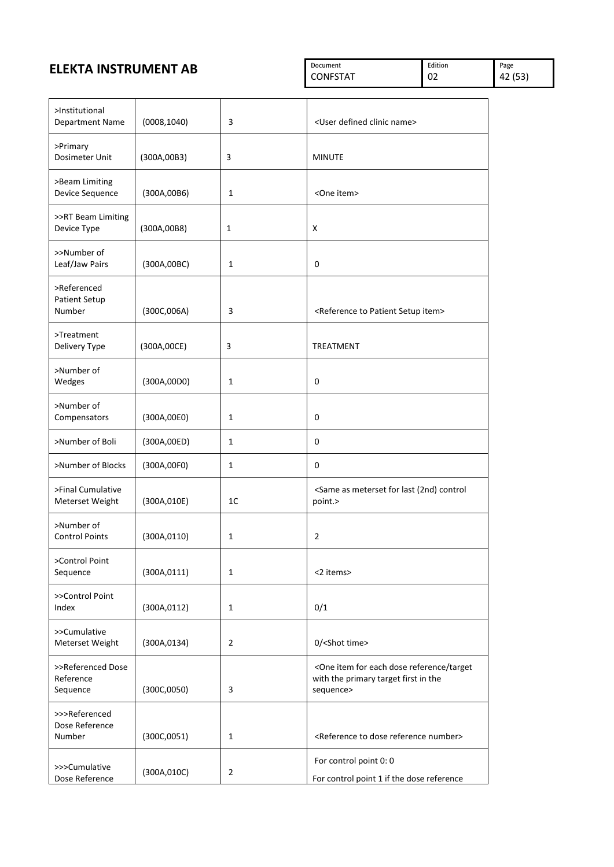| Document        | Edition | Page    |
|-----------------|---------|---------|
| <b>CONFSTAT</b> | -02     | 42 (53) |

| >Institutional<br>Department Name          | (0008, 1040) | 3              | <user clinic="" defined="" name=""></user>                                                                                |
|--------------------------------------------|--------------|----------------|---------------------------------------------------------------------------------------------------------------------------|
| >Primary<br>Dosimeter Unit                 | (300A,00B3)  | 3              | <b>MINUTE</b>                                                                                                             |
| >Beam Limiting<br>Device Sequence          | (300A,00B6)  | 1              | <one item=""></one>                                                                                                       |
| >>RT Beam Limiting<br>Device Type          | (300A,00B8)  | 1              | X                                                                                                                         |
| >>Number of<br>Leaf/Jaw Pairs              | (300A,00BC)  | 1              | 0                                                                                                                         |
| >Referenced<br>Patient Setup<br>Number     | (300C,006A)  | 3              | <reference item="" patient="" setup="" to=""></reference>                                                                 |
| >Treatment<br>Delivery Type                | (300A,00CE)  | 3              | <b>TREATMENT</b>                                                                                                          |
| >Number of<br>Wedges                       | (300A,00D0)  | 1              | 0                                                                                                                         |
| >Number of<br>Compensators                 | (300A,00E0)  | 1              | 0                                                                                                                         |
| >Number of Boli                            | (300A,00ED)  | 1              | 0                                                                                                                         |
| >Number of Blocks                          | (300A,00F0)  | 1              | 0                                                                                                                         |
| >Final Cumulative<br>Meterset Weight       | (300A, 010E) | 1 <sup>C</sup> | <same (2nd)="" as="" control<br="" for="" last="" meterset="">point.&gt;</same>                                           |
| >Number of<br><b>Control Points</b>        | (300A, 0110) | 1              | $\overline{2}$                                                                                                            |
| >Control Point<br>Sequence                 | (300A, 0111) | 1              | <2 items>                                                                                                                 |
| >>Control Point<br>Index                   | (300A, 0112) | 1              | 0/1                                                                                                                       |
| >>Cumulative<br>Meterset Weight            | (300A, 0134) | $\overline{2}$ | 0/ <shot time=""></shot>                                                                                                  |
| >>Referenced Dose<br>Reference<br>Sequence | (300C,0050)  | 3              | <one dose="" each="" for="" item="" reference="" target<br="">with the primary target first in the<br/>sequence&gt;</one> |
| >>>Referenced<br>Dose Reference<br>Number  | (300C,0051)  | 1              | <reference dose="" number="" reference="" to=""></reference>                                                              |
| >>>Cumulative<br>Dose Reference            | (300A, 010C) | $\overline{2}$ | For control point 0: 0<br>For control point 1 if the dose reference                                                       |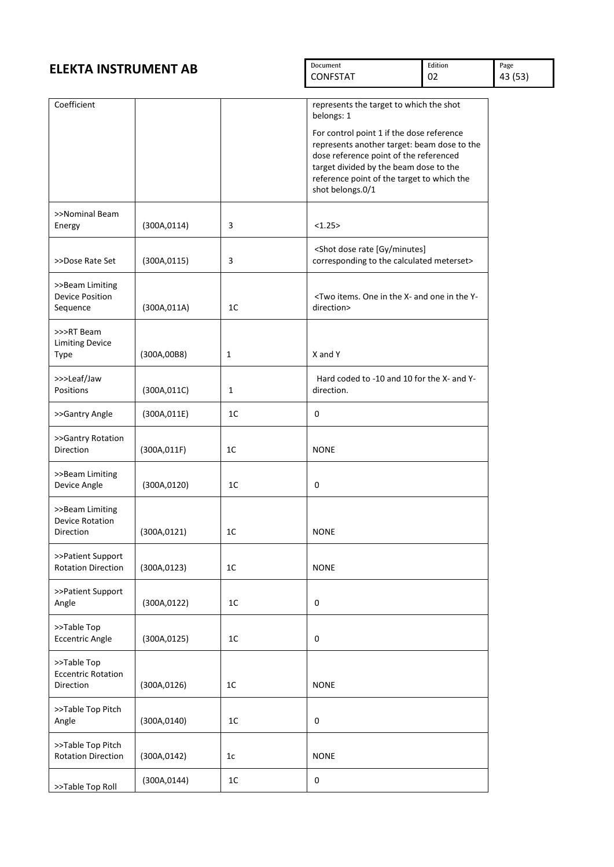| <b>ELEKTA INSTRUMENT AB</b>                            |              | Document<br><b>CONFSTAT</b> | Edition<br>02                                                                                                                                                                                                                                                                                           | Page<br>43 (53) |  |
|--------------------------------------------------------|--------------|-----------------------------|---------------------------------------------------------------------------------------------------------------------------------------------------------------------------------------------------------------------------------------------------------------------------------------------------------|-----------------|--|
| Coefficient                                            |              |                             | represents the target to which the shot<br>belongs: 1<br>For control point 1 if the dose reference<br>represents another target: beam dose to the<br>dose reference point of the referenced<br>target divided by the beam dose to the<br>reference point of the target to which the<br>shot belongs.0/1 |                 |  |
| >>Nominal Beam<br>Energy                               | (300A, 0114) | 3                           | <1.25>                                                                                                                                                                                                                                                                                                  |                 |  |
| >>Dose Rate Set                                        | (300A, 0115) | $\mathsf{3}$                | <shot [gy="" dose="" minutes]<br="" rate="">corresponding to the calculated meterset&gt;</shot>                                                                                                                                                                                                         |                 |  |
| >>Beam Limiting<br><b>Device Position</b><br>Sequence  | (300A, 011A) | 1C                          | <two and="" in="" items.="" one="" the="" x-="" y-<br="">direction&gt;</two>                                                                                                                                                                                                                            |                 |  |
| >>>RT Beam<br><b>Limiting Device</b><br>Type           | (300A,00B8)  | $\mathbf{1}$                | X and Y                                                                                                                                                                                                                                                                                                 |                 |  |
| >>>Leaf/Jaw<br>Positions                               | (300A, 011C) | $\mathbf{1}$                | Hard coded to -10 and 10 for the X- and Y-<br>direction.                                                                                                                                                                                                                                                |                 |  |
| >>Gantry Angle                                         | (300A, 011E) | 1C                          | 0                                                                                                                                                                                                                                                                                                       |                 |  |
| >>Gantry Rotation<br>Direction                         | (300A, 011F) | 1 <sup>C</sup>              | <b>NONE</b>                                                                                                                                                                                                                                                                                             |                 |  |
| >>Beam Limiting<br>Device Angle                        | (300A, 0120) | 1C                          | 0                                                                                                                                                                                                                                                                                                       |                 |  |
| >>Beam Limiting<br><b>Device Rotation</b><br>Direction | (300A, 0121) | $1C$                        | <b>NONE</b>                                                                                                                                                                                                                                                                                             |                 |  |
| >>Patient Support<br><b>Rotation Direction</b>         | (300A, 0123) | 1 <sup>C</sup>              | <b>NONE</b>                                                                                                                                                                                                                                                                                             |                 |  |
| >>Patient Support<br>Angle                             | (300A, 0122) | 1C                          | $\pmb{0}$                                                                                                                                                                                                                                                                                               |                 |  |
| >>Table Top<br><b>Eccentric Angle</b>                  | (300A, 0125) | $1\mathrm{C}$               | $\pmb{0}$                                                                                                                                                                                                                                                                                               |                 |  |
| >>Table Top<br><b>Eccentric Rotation</b><br>Direction  | (300A, 0126) | 1 <sup>C</sup>              | <b>NONE</b>                                                                                                                                                                                                                                                                                             |                 |  |
| >>Table Top Pitch<br>Angle                             | (300A, 0140) | 1C                          | $\pmb{0}$                                                                                                                                                                                                                                                                                               |                 |  |
| >>Table Top Pitch<br><b>Rotation Direction</b>         | (300A, 0142) | 1 <sub>c</sub>              | <b>NONE</b>                                                                                                                                                                                                                                                                                             |                 |  |
| >>Table Top Roll                                       | (300A, 0144) | $1\mathrm{C}$               | $\pmb{0}$                                                                                                                                                                                                                                                                                               |                 |  |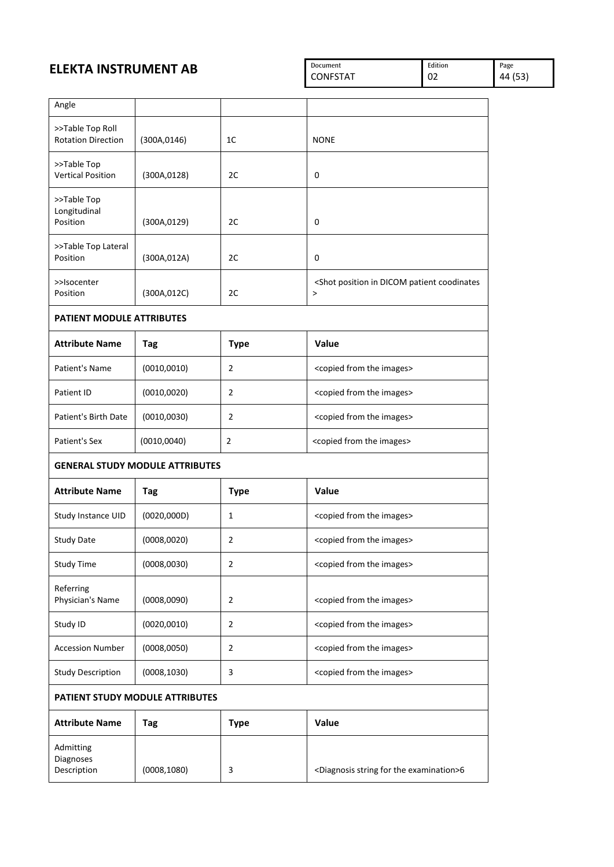| Document        | Edition | Page    |
|-----------------|---------|---------|
| <b>CONFSTAT</b> | רח      | 44 (53) |

| Angle                                         |                                        |                |                                                                                       |
|-----------------------------------------------|----------------------------------------|----------------|---------------------------------------------------------------------------------------|
| >>Table Top Roll<br><b>Rotation Direction</b> | (300A, 0146)                           | 1 <sup>C</sup> | <b>NONE</b>                                                                           |
| >>Table Top<br><b>Vertical Position</b>       | (300A, 0128)                           | 2C             | 0                                                                                     |
| >>Table Top<br>Longitudinal<br>Position       | (300A, 0129)                           | 2C             | 0                                                                                     |
| >>Table Top Lateral<br>Position               | (300A, 012A)                           | 2C             | 0                                                                                     |
| >>Isocenter<br>Position                       | (300A, 012C)                           | 2C             | <shot coodinates<br="" dicom="" in="" patient="" position=""><math>\geq</math></shot> |
| <b>PATIENT MODULE ATTRIBUTES</b>              |                                        |                |                                                                                       |
| <b>Attribute Name</b>                         | Tag                                    | <b>Type</b>    | Value                                                                                 |
| Patient's Name                                | (0010, 0010)                           | 2              | <copied from="" images="" the=""></copied>                                            |
| Patient ID                                    | (0010, 0020)                           | $\overline{2}$ | <copied from="" images="" the=""></copied>                                            |
| Patient's Birth Date                          | (0010, 0030)                           | 2              | <copied from="" images="" the=""></copied>                                            |
| Patient's Sex                                 | (0010, 0040)                           | 2              | <copied from="" images="" the=""></copied>                                            |
|                                               | <b>GENERAL STUDY MODULE ATTRIBUTES</b> |                |                                                                                       |
| <b>Attribute Name</b>                         | Tag                                    | <b>Type</b>    | Value                                                                                 |
| Study Instance UID                            | (0020,000D)                            | 1              | <copied from="" images="" the=""></copied>                                            |
| <b>Study Date</b>                             | (0008, 0020)                           | 2              | <copied from="" images="" the=""></copied>                                            |
| <b>Study Time</b>                             | (0008, 0030)                           | $\overline{2}$ | <copied from="" images="" the=""></copied>                                            |
| Referring<br>Physician's Name                 | (0008, 0090)                           | $\overline{2}$ | <copied from="" images="" the=""></copied>                                            |
| Study ID                                      | (0020, 0010)                           | $\overline{2}$ | <copied from="" images="" the=""></copied>                                            |
| <b>Accession Number</b>                       | (0008, 0050)                           | $\overline{2}$ | <copied from="" images="" the=""></copied>                                            |
| <b>Study Description</b>                      | (0008, 1030)                           | 3              | <copied from="" images="" the=""></copied>                                            |
|                                               | <b>PATIENT STUDY MODULE ATTRIBUTES</b> |                |                                                                                       |
| <b>Attribute Name</b>                         | Tag                                    | <b>Type</b>    | Value                                                                                 |
| Admitting<br>Diagnoses<br>Description         | (0008, 1080)                           | 3              | <diagnosis examination="" for="" string="" the="">6</diagnosis>                       |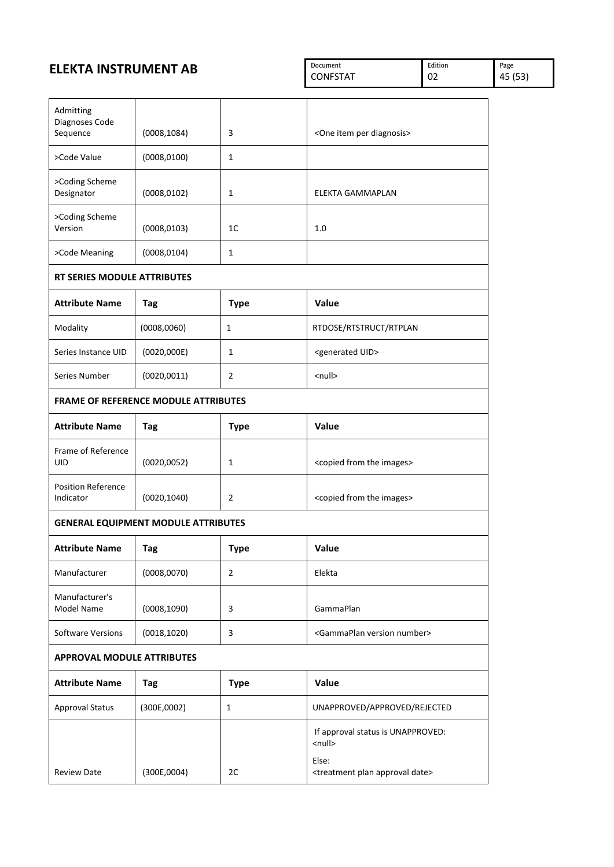| Document        | Edition | Page    |
|-----------------|---------|---------|
| <b>CONFSTAT</b> | רח      | 45 (53) |

| (0008, 1084)                                |                |                                                                                                                      |  |
|---------------------------------------------|----------------|----------------------------------------------------------------------------------------------------------------------|--|
|                                             | 3              | <one diagnosis="" item="" per=""></one>                                                                              |  |
| (0008, 0100)                                | 1              |                                                                                                                      |  |
| (0008, 0102)                                | 1              | ELEKTA GAMMAPLAN                                                                                                     |  |
| (0008, 0103)                                | 1 <sup>C</sup> | 1.0                                                                                                                  |  |
| (0008, 0104)                                | 1              |                                                                                                                      |  |
| <b>RT SERIES MODULE ATTRIBUTES</b>          |                |                                                                                                                      |  |
| Tag                                         | <b>Type</b>    | Value                                                                                                                |  |
| (0008,0060)                                 | 1              | RTDOSE/RTSTRUCT/RTPLAN                                                                                               |  |
| (0020,000E)                                 | 1              | <generated uid=""></generated>                                                                                       |  |
| (0020, 0011)                                | $\overline{2}$ | <null></null>                                                                                                        |  |
| <b>FRAME OF REFERENCE MODULE ATTRIBUTES</b> |                |                                                                                                                      |  |
| Tag                                         | <b>Type</b>    | Value                                                                                                                |  |
| (0020, 0052)                                | 1              | <copied from="" images="" the=""></copied>                                                                           |  |
| (0020, 1040)                                | $\overline{2}$ | <copied from="" images="" the=""></copied>                                                                           |  |
|                                             |                |                                                                                                                      |  |
| Tag                                         | <b>Type</b>    | Value                                                                                                                |  |
| (0008, 0070)                                | 2              | Elekta                                                                                                               |  |
| (0008, 1090)                                | 3              | GammaPlan                                                                                                            |  |
| (0018, 1020)                                | 3              | <gammaplan number="" version=""></gammaplan>                                                                         |  |
| <b>APPROVAL MODULE ATTRIBUTES</b>           |                |                                                                                                                      |  |
| Tag                                         | <b>Type</b>    | Value                                                                                                                |  |
| (300E,0002)                                 | $\mathbf{1}$   | UNAPPROVED/APPROVED/REJECTED                                                                                         |  |
| (300E,0004)                                 | 2C             | If approval status is UNAPPROVED:<br><null><br/>Else:<br/><treatment approval="" date="" plan=""></treatment></null> |  |
|                                             |                | <b>GENERAL EQUIPMENT MODULE ATTRIBUTES</b>                                                                           |  |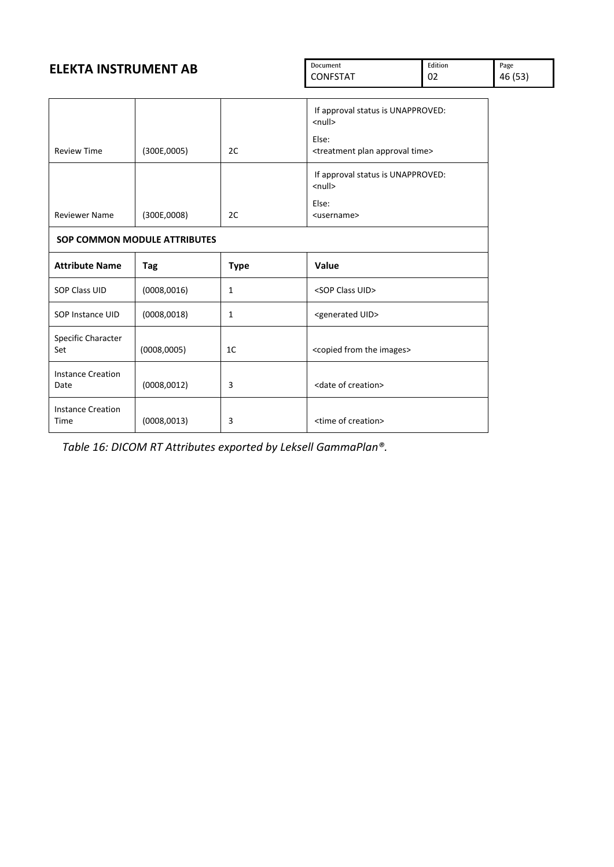| Document | Edition | Page  |
|----------|---------|-------|
| CONFSTAT | n٦      | ור ח' |

|                          |                                     |                | If approval status is UNAPPROVED:<br>$\leq$ null $\geq$ |
|--------------------------|-------------------------------------|----------------|---------------------------------------------------------|
|                          |                                     |                | Else:                                                   |
| <b>Review Time</b>       | (300E, 0005)                        | 2C             | <treatment approval="" plan="" time=""></treatment>     |
|                          |                                     |                | If approval status is UNAPPROVED:<br>$\leq$ null $\geq$ |
|                          |                                     |                | Else:                                                   |
| <b>Reviewer Name</b>     | (300E,0008)                         | 2C             | <username></username>                                   |
|                          | <b>SOP COMMON MODULE ATTRIBUTES</b> |                |                                                         |
| <b>Attribute Name</b>    | Tag                                 | <b>Type</b>    | Value                                                   |
| <b>SOP Class UID</b>     | (0008, 0016)                        | $\mathbf{1}$   | <sop class="" uid=""></sop>                             |
| SOP Instance UID         | (0008, 0018)                        | 1              | <generated uid=""></generated>                          |
| Specific Character       |                                     |                |                                                         |
| Set                      | (0008,0005)                         | 1 <sup>C</sup> | <copied from="" images="" the=""></copied>              |
| <b>Instance Creation</b> |                                     |                |                                                         |
| Date                     | (0008, 0012)                        | 3              | <date creation="" of=""></date>                         |
| <b>Instance Creation</b> |                                     |                |                                                         |
| Time                     | (0008, 0013)                        | 3              | <time creation="" of=""></time>                         |

*Table 16: DICOM RT Attributes exported by Leksell GammaPlan®.*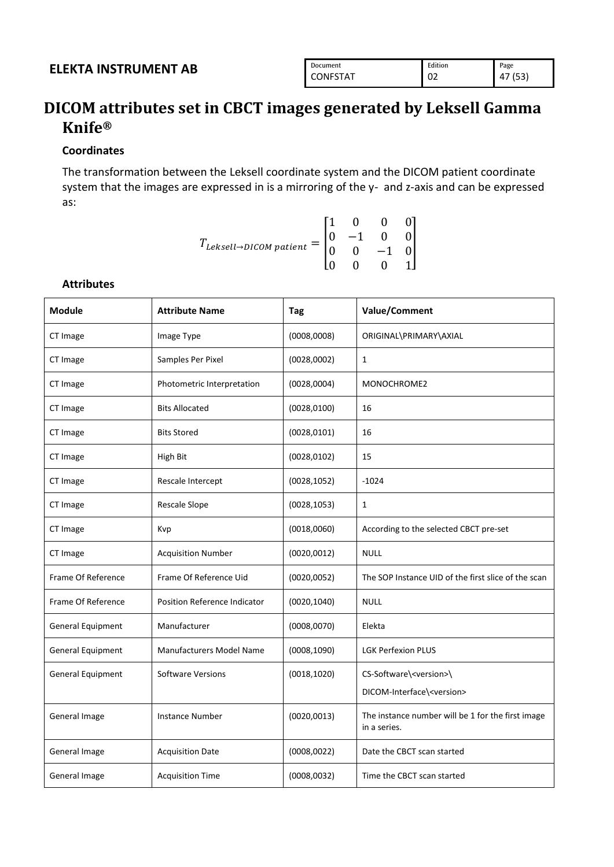| <b>ELEKTA INSTRUMENT AB</b> | Document<br>CONFSTAT | Edition<br>$\sim$<br>υz | Page<br>$-$<br>$1 - 2$<br>ーー |
|-----------------------------|----------------------|-------------------------|------------------------------|
|                             |                      |                         |                              |

# **DICOM attributes set in CBCT images generated by Leksell Gamma Knife®**

#### **Coordinates**

The transformation between the Leksell coordinate system and the DICOM patient coordinate system that the images are expressed in is a mirroring of the y- and z-axis and can be expressed as:

$$
T_{Leksell \to DICOM\, patient} = \begin{bmatrix} 1 & 0 & 0 & 0 \\ 0 & -1 & 0 & 0 \\ 0 & 0 & -1 & 0 \\ 0 & 0 & 0 & 1 \end{bmatrix}
$$

**Attributes**

| <b>Module</b>      | <b>Attribute Name</b>           | Tag          | Value/Comment                                                     |
|--------------------|---------------------------------|--------------|-------------------------------------------------------------------|
| CT Image           | Image Type                      | (0008,0008)  | ORIGINAL\PRIMARY\AXIAL                                            |
| CT Image           | Samples Per Pixel               | (0028,0002)  | $\mathbf{1}$                                                      |
| CT Image           | Photometric Interpretation      | (0028,0004)  | MONOCHROME2                                                       |
| CT Image           | <b>Bits Allocated</b>           | (0028, 0100) | 16                                                                |
| CT Image           | <b>Bits Stored</b>              | (0028, 0101) | 16                                                                |
| CT Image           | High Bit                        | (0028, 0102) | 15                                                                |
| CT Image           | Rescale Intercept               | (0028, 1052) | $-1024$                                                           |
| CT Image           | Rescale Slope                   | (0028, 1053) | $\mathbf{1}$                                                      |
| CT Image           | Kvp                             | (0018, 0060) | According to the selected CBCT pre-set                            |
| CT Image           | <b>Acquisition Number</b>       | (0020, 0012) | <b>NULL</b>                                                       |
| Frame Of Reference | Frame Of Reference Uid          | (0020, 0052) | The SOP Instance UID of the first slice of the scan               |
| Frame Of Reference | Position Reference Indicator    | (0020, 1040) | <b>NULL</b>                                                       |
| General Equipment  | Manufacturer                    | (0008, 0070) | Elekta                                                            |
| General Equipment  | <b>Manufacturers Model Name</b> | (0008, 1090) | <b>LGK Perfexion PLUS</b>                                         |
| General Equipment  | <b>Software Versions</b>        | (0018, 1020) | CS-Software\ <version>\</version>                                 |
|                    |                                 |              | DICOM-Interface\ <version></version>                              |
| General Image      | <b>Instance Number</b>          | (0020, 0013) | The instance number will be 1 for the first image<br>in a series. |
| General Image      | <b>Acquisition Date</b>         | (0008, 0022) | Date the CBCT scan started                                        |
| General Image      | <b>Acquisition Time</b>         | (0008, 0032) | Time the CBCT scan started                                        |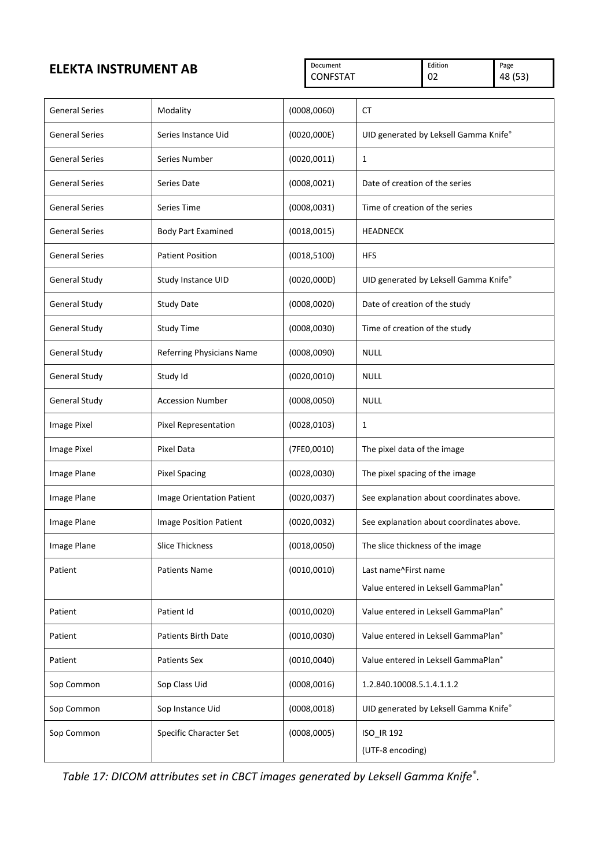| Document | Edition | Page    |
|----------|---------|---------|
| CONFSTAT | 02      | 48 (53) |

| <b>General Series</b> | Modality                   | (0008, 0060) | СT                                       |
|-----------------------|----------------------------|--------------|------------------------------------------|
| <b>General Series</b> | Series Instance Uid        | (0020,000E)  | UID generated by Leksell Gamma Knife®    |
| <b>General Series</b> | Series Number              | (0020, 0011) | 1                                        |
| <b>General Series</b> | Series Date                | (0008, 0021) | Date of creation of the series           |
| <b>General Series</b> | Series Time                | (0008, 0031) | Time of creation of the series           |
| <b>General Series</b> | <b>Body Part Examined</b>  | (0018,0015)  | <b>HEADNECK</b>                          |
| <b>General Series</b> | <b>Patient Position</b>    | (0018, 5100) | <b>HFS</b>                               |
| <b>General Study</b>  | Study Instance UID         | (0020,000D)  | UID generated by Leksell Gamma Knife®    |
| <b>General Study</b>  | <b>Study Date</b>          | (0008, 0020) | Date of creation of the study            |
| <b>General Study</b>  | <b>Study Time</b>          | (0008, 0030) | Time of creation of the study            |
| General Study         | Referring Physicians Name  | (0008,0090)  | <b>NULL</b>                              |
| General Study         | Study Id                   | (0020, 0010) | <b>NULL</b>                              |
| General Study         | <b>Accession Number</b>    | (0008, 0050) | <b>NULL</b>                              |
| <b>Image Pixel</b>    | Pixel Representation       | (0028, 0103) | 1                                        |
| Image Pixel           | Pixel Data                 | (7FE0,0010)  | The pixel data of the image              |
| Image Plane           | <b>Pixel Spacing</b>       | (0028,0030)  | The pixel spacing of the image           |
| Image Plane           | Image Orientation Patient  | (0020, 0037) | See explanation about coordinates above. |
| Image Plane           | Image Position Patient     | (0020, 0032) | See explanation about coordinates above. |
| Image Plane           | <b>Slice Thickness</b>     | (0018,0050)  | The slice thickness of the image         |
| Patient               | <b>Patients Name</b>       | (0010, 0010) | Last name^First name                     |
|                       |                            |              | Value entered in Leksell GammaPlan®      |
| Patient               | Patient Id                 | (0010, 0020) | Value entered in Leksell GammaPlan®      |
| Patient               | <b>Patients Birth Date</b> | (0010, 0030) | Value entered in Leksell GammaPlan®      |
| Patient               | <b>Patients Sex</b>        | (0010, 0040) | Value entered in Leksell GammaPlan®      |
| Sop Common            | Sop Class Uid              | (0008,0016)  | 1.2.840.10008.5.1.4.1.1.2                |
| Sop Common            | Sop Instance Uid           | (0008, 0018) | UID generated by Leksell Gamma Knife®    |
| Sop Common            | Specific Character Set     | (0008,0005)  | ISO_IR 192                               |
|                       |                            |              | (UTF-8 encoding)                         |
|                       |                            |              |                                          |

*Table 17: DICOM attributes set in CBCT images generated by Leksell Gamma Knife® .*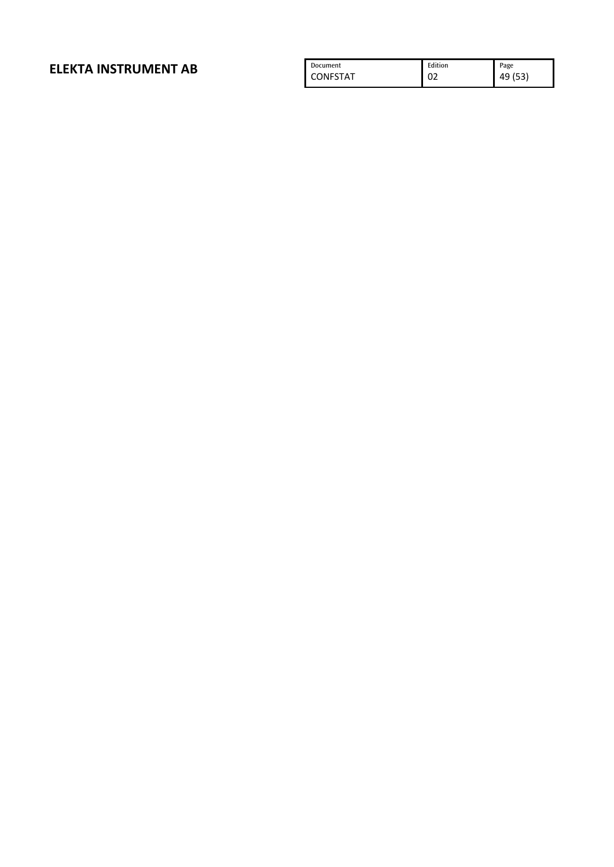| Document        | Edition | Page    |
|-----------------|---------|---------|
| <b>CONFSTAT</b> | 02      | 49 (53) |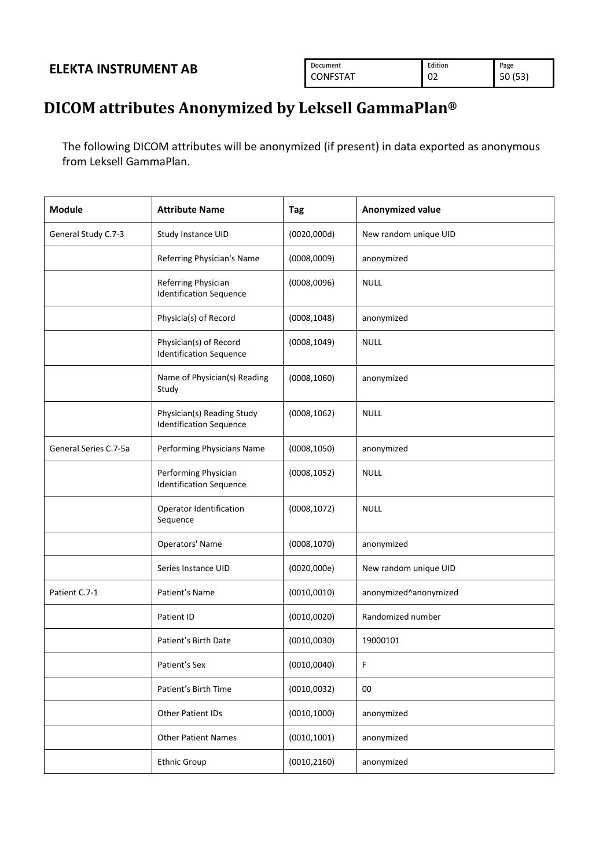| Document | Edition | Page    |
|----------|---------|---------|
| CONFSTAT |         | 50 (53) |

# **DICOM attributes Anonymized by Leksell GammaPlan®**

The following DICOM attributes will be anonymized (if present) in data exported as anonymous from Leksell GammaPlan.

| <b>Module</b>         | <b>Attribute Name</b>                                        | Tag          | Anonymized value      |
|-----------------------|--------------------------------------------------------------|--------------|-----------------------|
| General Study C.7-3   | Study Instance UID                                           | (0020,000d)  | New random unique UID |
|                       | Referring Physician's Name                                   | (0008, 0009) | anonymized            |
|                       | Referring Physician<br><b>Identification Sequence</b>        | (0008,0096)  | <b>NULL</b>           |
|                       | Physicia(s) of Record                                        | (0008, 1048) | anonymized            |
|                       | Physician(s) of Record<br><b>Identification Sequence</b>     | (0008, 1049) | <b>NULL</b>           |
|                       | Name of Physician(s) Reading<br>Study                        | (0008, 1060) | anonymized            |
|                       | Physician(s) Reading Study<br><b>Identification Sequence</b> | (0008, 1062) | <b>NULL</b>           |
| General Series C.7-5a | Performing Physicians Name                                   | (0008, 1050) | anonymized            |
|                       | Performing Physician<br><b>Identification Sequence</b>       | (0008, 1052) | <b>NULL</b>           |
|                       | Operator Identification<br>Sequence                          | (0008, 1072) | <b>NULL</b>           |
|                       | Operators' Name                                              | (0008, 1070) | anonymized            |
|                       | Series Instance UID                                          | (0020,000e)  | New random unique UID |
| Patient C.7-1         | Patient's Name                                               | (0010, 0010) | anonymized^anonymized |
|                       | Patient ID                                                   | (0010, 0020) | Randomized number     |
|                       | Patient's Birth Date                                         | (0010, 0030) | 19000101              |
|                       | Patient's Sex                                                | (0010, 0040) | F                     |
|                       | Patient's Birth Time                                         | (0010, 0032) | 00                    |
|                       | Other Patient IDs                                            | (0010, 1000) | anonymized            |
|                       | <b>Other Patient Names</b>                                   | (0010, 1001) | anonymized            |
|                       | <b>Ethnic Group</b>                                          | (0010, 2160) | anonymized            |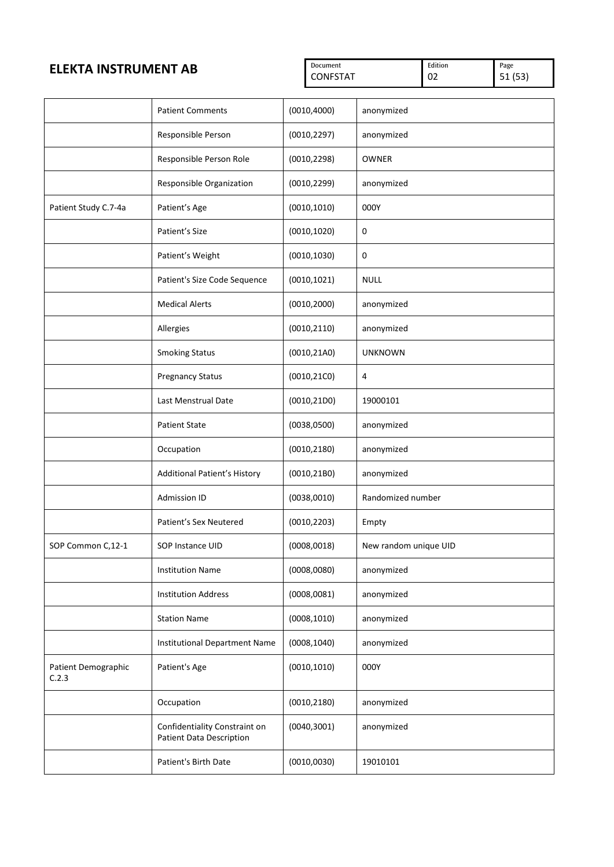| Document        | Edition | Page    |
|-----------------|---------|---------|
| <b>CONFSTAT</b> | በን      | 51 (53) |

|                              | <b>Patient Comments</b>                                   | (0010, 4000) | anonymized            |
|------------------------------|-----------------------------------------------------------|--------------|-----------------------|
|                              | Responsible Person                                        | (0010, 2297) | anonymized            |
|                              | Responsible Person Role                                   | (0010, 2298) | <b>OWNER</b>          |
|                              | Responsible Organization                                  | (0010, 2299) | anonymized            |
| Patient Study C.7-4a         | Patient's Age                                             | (0010, 1010) | 000Y                  |
|                              | Patient's Size                                            | (0010, 1020) | 0                     |
|                              | Patient's Weight                                          | (0010, 1030) | 0                     |
|                              | Patient's Size Code Sequence                              | (0010, 1021) | <b>NULL</b>           |
|                              | <b>Medical Alerts</b>                                     | (0010, 2000) | anonymized            |
|                              | Allergies                                                 | (0010, 2110) | anonymized            |
|                              | <b>Smoking Status</b>                                     | (0010, 21A0) | <b>UNKNOWN</b>        |
|                              | <b>Pregnancy Status</b>                                   | (0010, 21C0) | 4                     |
|                              | Last Menstrual Date                                       | (0010, 21D0) | 19000101              |
|                              | <b>Patient State</b>                                      | (0038, 0500) | anonymized            |
|                              | Occupation                                                | (0010, 2180) | anonymized            |
|                              | Additional Patient's History                              | (0010, 21B0) | anonymized            |
|                              | <b>Admission ID</b>                                       | (0038,0010)  | Randomized number     |
|                              | Patient's Sex Neutered                                    | (0010, 2203) | Empty                 |
| SOP Common C, 12-1           | SOP Instance UID                                          | (0008, 0018) | New random unique UID |
|                              | <b>Institution Name</b>                                   | (0008, 0080) | anonymized            |
|                              | <b>Institution Address</b>                                | (0008, 0081) | anonymized            |
|                              | <b>Station Name</b>                                       | (0008, 1010) | anonymized            |
|                              | <b>Institutional Department Name</b>                      | (0008, 1040) | anonymized            |
| Patient Demographic<br>C.2.3 | Patient's Age                                             | (0010, 1010) | 000Y                  |
|                              | Occupation                                                | (0010, 2180) | anonymized            |
|                              | Confidentiality Constraint on<br>Patient Data Description | (0040, 3001) | anonymized            |
|                              | Patient's Birth Date                                      | (0010, 0030) | 19010101              |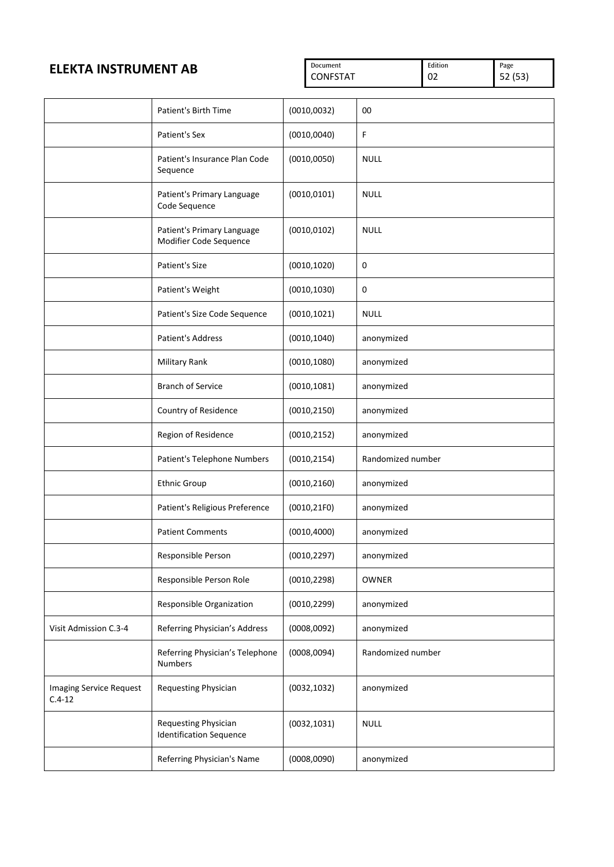| Document        | Edition | Page    |
|-----------------|---------|---------|
| <b>CONFSTAT</b> |         | 52 (53) |

|                                            | Patient's Birth Time                                   | (0010, 0032) | 00                |
|--------------------------------------------|--------------------------------------------------------|--------------|-------------------|
|                                            | Patient's Sex                                          | (0010, 0040) | F                 |
|                                            | Patient's Insurance Plan Code<br>Sequence              | (0010, 0050) | <b>NULL</b>       |
|                                            | Patient's Primary Language<br>Code Sequence            | (0010, 0101) | <b>NULL</b>       |
|                                            | Patient's Primary Language<br>Modifier Code Sequence   | (0010, 0102) | <b>NULL</b>       |
|                                            | Patient's Size                                         | (0010, 1020) | 0                 |
|                                            | Patient's Weight                                       | (0010, 1030) | 0                 |
|                                            | Patient's Size Code Sequence                           | (0010, 1021) | <b>NULL</b>       |
|                                            | <b>Patient's Address</b>                               | (0010, 1040) | anonymized        |
|                                            | Military Rank                                          | (0010, 1080) | anonymized        |
|                                            | <b>Branch of Service</b>                               | (0010, 1081) | anonymized        |
|                                            | Country of Residence                                   | (0010, 2150) | anonymized        |
|                                            | Region of Residence                                    | (0010, 2152) | anonymized        |
|                                            | Patient's Telephone Numbers                            | (0010, 2154) | Randomized number |
|                                            | <b>Ethnic Group</b>                                    | (0010, 2160) | anonymized        |
|                                            | Patient's Religious Preference                         | (0010, 21F0) | anonymized        |
|                                            | <b>Patient Comments</b>                                | (0010, 4000) | anonymized        |
|                                            | Responsible Person                                     | (0010, 2297) | anonymized        |
|                                            | Responsible Person Role                                | (0010, 2298) | OWNER             |
|                                            | Responsible Organization                               | (0010, 2299) | anonymized        |
| Visit Admission C.3-4                      | Referring Physician's Address                          | (0008, 0092) | anonymized        |
|                                            | Referring Physician's Telephone<br>Numbers             | (0008, 0094) | Randomized number |
| <b>Imaging Service Request</b><br>$C.4-12$ | Requesting Physician                                   | (0032, 1032) | anonymized        |
|                                            | Requesting Physician<br><b>Identification Sequence</b> | (0032, 1031) | <b>NULL</b>       |
|                                            | Referring Physician's Name                             | (0008, 0090) | anonymized        |